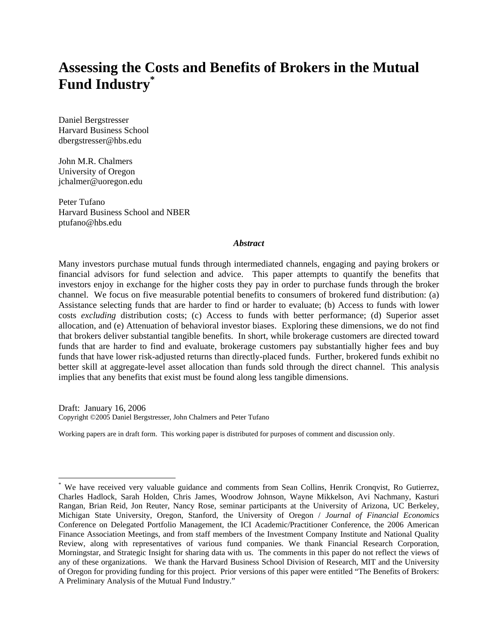# **Assessing the Costs and Benefits of Brokers in the Mutual Fund Industry\***

Daniel Bergstresser Harvard Business School dbergstresser@hbs.edu

John M.R. Chalmers University of Oregon jchalmer@uoregon.edu

1

Peter Tufano Harvard Business School and NBER ptufano@hbs.edu

## *Abstract*

Many investors purchase mutual funds through intermediated channels, engaging and paying brokers or financial advisors for fund selection and advice. This paper attempts to quantify the benefits that investors enjoy in exchange for the higher costs they pay in order to purchase funds through the broker channel. We focus on five measurable potential benefits to consumers of brokered fund distribution: (a) Assistance selecting funds that are harder to find or harder to evaluate; (b) Access to funds with lower costs *excluding* distribution costs; (c) Access to funds with better performance; (d) Superior asset allocation, and (e) Attenuation of behavioral investor biases. Exploring these dimensions, we do not find that brokers deliver substantial tangible benefits. In short, while brokerage customers are directed toward funds that are harder to find and evaluate, brokerage customers pay substantially higher fees and buy funds that have lower risk-adjusted returns than directly-placed funds. Further, brokered funds exhibit no better skill at aggregate-level asset allocation than funds sold through the direct channel. This analysis implies that any benefits that exist must be found along less tangible dimensions.

Draft: January 16, 2006 Copyright ©2005 Daniel Bergstresser, John Chalmers and Peter Tufano

Working papers are in draft form. This working paper is distributed for purposes of comment and discussion only.

<sup>\*</sup> We have received very valuable guidance and comments from Sean Collins, Henrik Cronqvist, Ro Gutierrez, Charles Hadlock, Sarah Holden, Chris James, Woodrow Johnson, Wayne Mikkelson, Avi Nachmany, Kasturi Rangan, Brian Reid, Jon Reuter, Nancy Rose, seminar participants at the University of Arizona, UC Berkeley, Michigan State University, Oregon, Stanford, the University of Oregon / *Journal of Financial Economics* Conference on Delegated Portfolio Management, the ICI Academic/Practitioner Conference, the 2006 American Finance Association Meetings, and from staff members of the Investment Company Institute and National Quality Review, along with representatives of various fund companies. We thank Financial Research Corporation, Morningstar, and Strategic Insight for sharing data with us. The comments in this paper do not reflect the views of any of these organizations. We thank the Harvard Business School Division of Research, MIT and the University of Oregon for providing funding for this project. Prior versions of this paper were entitled "The Benefits of Brokers: A Preliminary Analysis of the Mutual Fund Industry."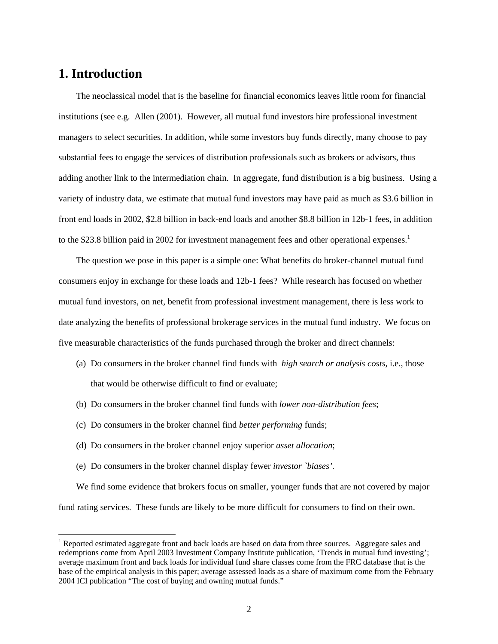## **1. Introduction**

 $\overline{a}$ 

The neoclassical model that is the baseline for financial economics leaves little room for financial institutions (see e.g. Allen (2001). However, all mutual fund investors hire professional investment managers to select securities. In addition, while some investors buy funds directly, many choose to pay substantial fees to engage the services of distribution professionals such as brokers or advisors, thus adding another link to the intermediation chain. In aggregate, fund distribution is a big business. Using a variety of industry data, we estimate that mutual fund investors may have paid as much as \$3.6 billion in front end loads in 2002, \$2.8 billion in back-end loads and another \$8.8 billion in 12b-1 fees, in addition to the \$23.8 billion paid in 2002 for investment management fees and other operational expenses.<sup>1</sup>

The question we pose in this paper is a simple one: What benefits do broker-channel mutual fund consumers enjoy in exchange for these loads and 12b-1 fees? While research has focused on whether mutual fund investors, on net, benefit from professional investment management, there is less work to date analyzing the benefits of professional brokerage services in the mutual fund industry. We focus on five measurable characteristics of the funds purchased through the broker and direct channels:

- (a) Do consumers in the broker channel find funds with *high search or analysis costs*, i.e., those that would be otherwise difficult to find or evaluate;
- (b) Do consumers in the broker channel find funds with *lower non-distribution fees*;
- (c) Do consumers in the broker channel find *better performing* funds;
- (d) Do consumers in the broker channel enjoy superior *asset allocation*;
- (e) Do consumers in the broker channel display fewer *investor `biases'.*

We find some evidence that brokers focus on smaller, younger funds that are not covered by major fund rating services. These funds are likely to be more difficult for consumers to find on their own.

<sup>&</sup>lt;sup>1</sup> Reported estimated aggregate front and back loads are based on data from three sources. Aggregate sales and redemptions come from April 2003 Investment Company Institute publication, 'Trends in mutual fund investing'; average maximum front and back loads for individual fund share classes come from the FRC database that is the base of the empirical analysis in this paper; average assessed loads as a share of maximum come from the February 2004 ICI publication "The cost of buying and owning mutual funds."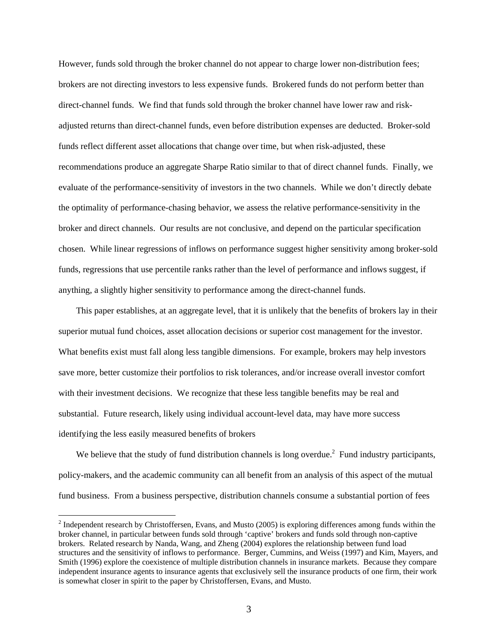However, funds sold through the broker channel do not appear to charge lower non-distribution fees; brokers are not directing investors to less expensive funds. Brokered funds do not perform better than direct-channel funds. We find that funds sold through the broker channel have lower raw and riskadjusted returns than direct-channel funds, even before distribution expenses are deducted. Broker-sold funds reflect different asset allocations that change over time, but when risk-adjusted, these recommendations produce an aggregate Sharpe Ratio similar to that of direct channel funds. Finally, we evaluate of the performance-sensitivity of investors in the two channels. While we don't directly debate the optimality of performance-chasing behavior, we assess the relative performance-sensitivity in the broker and direct channels. Our results are not conclusive, and depend on the particular specification chosen. While linear regressions of inflows on performance suggest higher sensitivity among broker-sold funds, regressions that use percentile ranks rather than the level of performance and inflows suggest, if anything, a slightly higher sensitivity to performance among the direct-channel funds.

This paper establishes, at an aggregate level, that it is unlikely that the benefits of brokers lay in their superior mutual fund choices, asset allocation decisions or superior cost management for the investor. What benefits exist must fall along less tangible dimensions. For example, brokers may help investors save more, better customize their portfolios to risk tolerances, and/or increase overall investor comfort with their investment decisions. We recognize that these less tangible benefits may be real and substantial. Future research, likely using individual account-level data, may have more success identifying the less easily measured benefits of brokers

We believe that the study of fund distribution channels is long overdue.<sup>2</sup> Fund industry participants, policy-makers, and the academic community can all benefit from an analysis of this aspect of the mutual fund business. From a business perspective, distribution channels consume a substantial portion of fees

 $2$  Independent research by Christoffersen, Evans, and Musto (2005) is exploring differences among funds within the broker channel, in particular between funds sold through 'captive' brokers and funds sold through non-captive brokers. Related research by Nanda, Wang, and Zheng (2004) explores the relationship between fund load structures and the sensitivity of inflows to performance. Berger, Cummins, and Weiss (1997) and Kim, Mayers, and Smith (1996) explore the coexistence of multiple distribution channels in insurance markets. Because they compare independent insurance agents to insurance agents that exclusively sell the insurance products of one firm, their work is somewhat closer in spirit to the paper by Christoffersen, Evans, and Musto.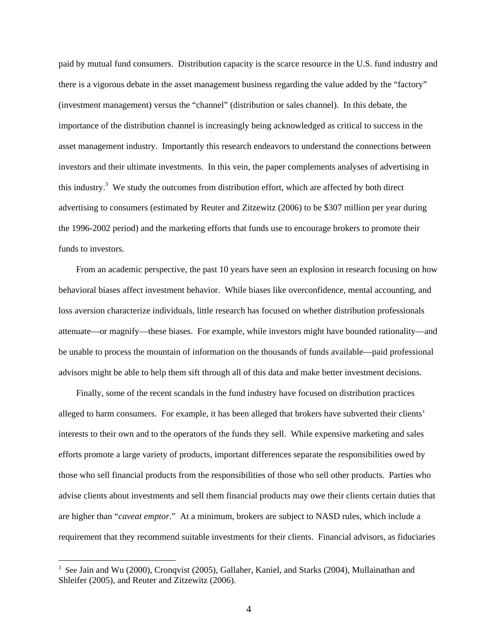paid by mutual fund consumers. Distribution capacity is the scarce resource in the U.S. fund industry and there is a vigorous debate in the asset management business regarding the value added by the "factory" (investment management) versus the "channel" (distribution or sales channel). In this debate, the importance of the distribution channel is increasingly being acknowledged as critical to success in the asset management industry. Importantly this research endeavors to understand the connections between investors and their ultimate investments. In this vein, the paper complements analyses of advertising in this industry.<sup>3</sup> We study the outcomes from distribution effort, which are affected by both direct advertising to consumers (estimated by Reuter and Zitzewitz (2006) to be \$307 million per year during the 1996-2002 period) and the marketing efforts that funds use to encourage brokers to promote their funds to investors.

From an academic perspective, the past 10 years have seen an explosion in research focusing on how behavioral biases affect investment behavior. While biases like overconfidence, mental accounting, and loss aversion characterize individuals, little research has focused on whether distribution professionals attenuate—or magnify—these biases. For example, while investors might have bounded rationality—and be unable to process the mountain of information on the thousands of funds available—paid professional advisors might be able to help them sift through all of this data and make better investment decisions.

Finally, some of the recent scandals in the fund industry have focused on distribution practices alleged to harm consumers. For example, it has been alleged that brokers have subverted their clients' interests to their own and to the operators of the funds they sell. While expensive marketing and sales efforts promote a large variety of products, important differences separate the responsibilities owed by those who sell financial products from the responsibilities of those who sell other products. Parties who advise clients about investments and sell them financial products may owe their clients certain duties that are higher than "*caveat emptor*." At a minimum, brokers are subject to NASD rules, which include a requirement that they recommend suitable investments for their clients. Financial advisors, as fiduciaries

<sup>&</sup>lt;sup>3</sup> See Jain and Wu (2000), Cronqvist (2005), Gallaher, Kaniel, and Starks (2004), Mullainathan and Shleifer (2005), and Reuter and Zitzewitz (2006).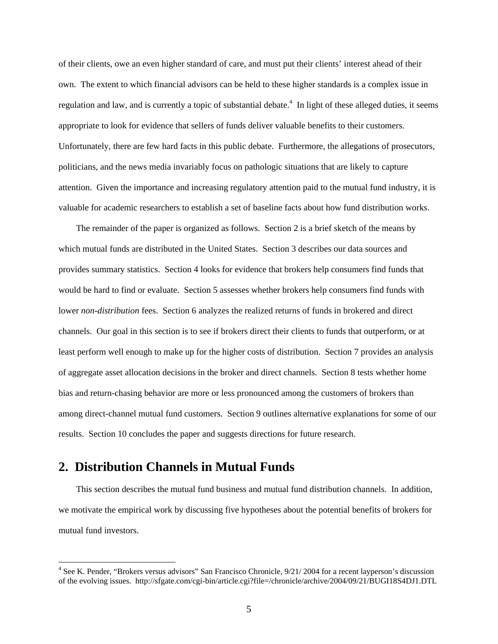of their clients, owe an even higher standard of care, and must put their clients' interest ahead of their own. The extent to which financial advisors can be held to these higher standards is a complex issue in regulation and law, and is currently a topic of substantial debate.<sup>4</sup> In light of these alleged duties, it seems appropriate to look for evidence that sellers of funds deliver valuable benefits to their customers. Unfortunately, there are few hard facts in this public debate. Furthermore, the allegations of prosecutors, politicians, and the news media invariably focus on pathologic situations that are likely to capture attention. Given the importance and increasing regulatory attention paid to the mutual fund industry, it is valuable for academic researchers to establish a set of baseline facts about how fund distribution works.

The remainder of the paper is organized as follows. Section 2 is a brief sketch of the means by which mutual funds are distributed in the United States. Section 3 describes our data sources and provides summary statistics. Section 4 looks for evidence that brokers help consumers find funds that would be hard to find or evaluate. Section 5 assesses whether brokers help consumers find funds with lower *non-distribution* fees. Section 6 analyzes the realized returns of funds in brokered and direct channels. Our goal in this section is to see if brokers direct their clients to funds that outperform, or at least perform well enough to make up for the higher costs of distribution. Section 7 provides an analysis of aggregate asset allocation decisions in the broker and direct channels. Section 8 tests whether home bias and return-chasing behavior are more or less pronounced among the customers of brokers than among direct-channel mutual fund customers. Section 9 outlines alternative explanations for some of our results. Section 10 concludes the paper and suggests directions for future research.

## **2. Distribution Channels in Mutual Funds**

 $\overline{a}$ 

This section describes the mutual fund business and mutual fund distribution channels. In addition, we motivate the empirical work by discussing five hypotheses about the potential benefits of brokers for mutual fund investors.

<sup>&</sup>lt;sup>4</sup> See K. Pender, "Brokers versus advisors" San Francisco Chronicle, 9/21/2004 for a recent layperson's discussion of the evolving issues. http://sfgate.com/cgi-bin/article.cgi?file=/chronicle/archive/2004/09/21/BUGI18S4DJ1.DTL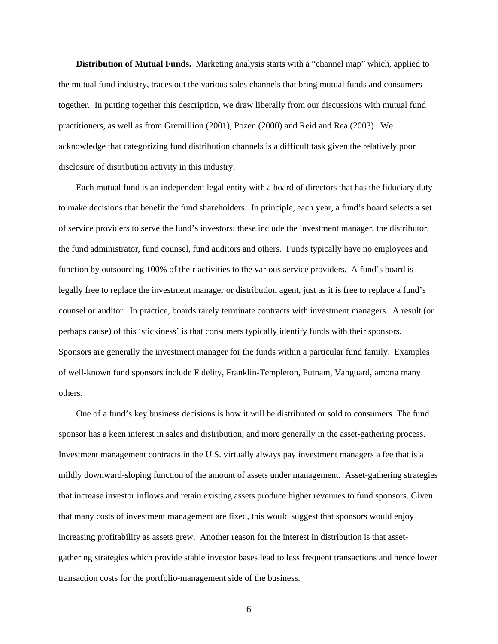**Distribution of Mutual Funds.** Marketing analysis starts with a "channel map" which, applied to the mutual fund industry, traces out the various sales channels that bring mutual funds and consumers together. In putting together this description, we draw liberally from our discussions with mutual fund practitioners, as well as from Gremillion (2001), Pozen (2000) and Reid and Rea (2003). We acknowledge that categorizing fund distribution channels is a difficult task given the relatively poor disclosure of distribution activity in this industry.

Each mutual fund is an independent legal entity with a board of directors that has the fiduciary duty to make decisions that benefit the fund shareholders. In principle, each year, a fund's board selects a set of service providers to serve the fund's investors; these include the investment manager, the distributor, the fund administrator, fund counsel, fund auditors and others. Funds typically have no employees and function by outsourcing 100% of their activities to the various service providers. A fund's board is legally free to replace the investment manager or distribution agent, just as it is free to replace a fund's counsel or auditor. In practice, boards rarely terminate contracts with investment managers. A result (or perhaps cause) of this 'stickiness' is that consumers typically identify funds with their sponsors. Sponsors are generally the investment manager for the funds within a particular fund family. Examples of well-known fund sponsors include Fidelity, Franklin-Templeton, Putnam, Vanguard, among many others.

One of a fund's key business decisions is how it will be distributed or sold to consumers. The fund sponsor has a keen interest in sales and distribution, and more generally in the asset-gathering process. Investment management contracts in the U.S. virtually always pay investment managers a fee that is a mildly downward-sloping function of the amount of assets under management. Asset-gathering strategies that increase investor inflows and retain existing assets produce higher revenues to fund sponsors. Given that many costs of investment management are fixed, this would suggest that sponsors would enjoy increasing profitability as assets grew. Another reason for the interest in distribution is that assetgathering strategies which provide stable investor bases lead to less frequent transactions and hence lower transaction costs for the portfolio-management side of the business.

6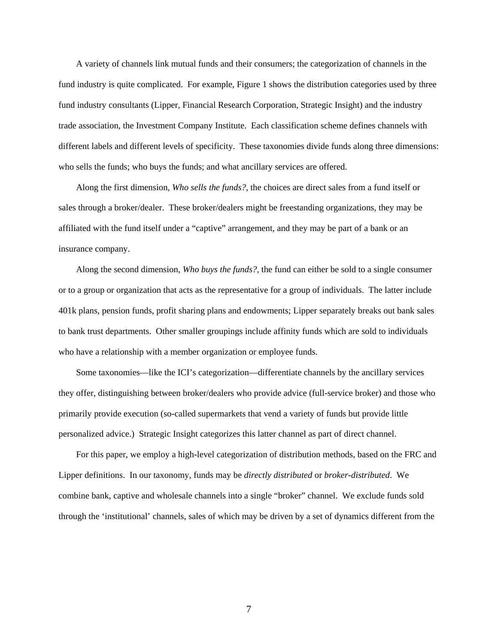A variety of channels link mutual funds and their consumers; the categorization of channels in the fund industry is quite complicated. For example, Figure 1 shows the distribution categories used by three fund industry consultants (Lipper, Financial Research Corporation, Strategic Insight) and the industry trade association, the Investment Company Institute. Each classification scheme defines channels with different labels and different levels of specificity. These taxonomies divide funds along three dimensions: who sells the funds; who buys the funds; and what ancillary services are offered.

Along the first dimension, *Who sells the funds?*, the choices are direct sales from a fund itself or sales through a broker/dealer. These broker/dealers might be freestanding organizations, they may be affiliated with the fund itself under a "captive" arrangement, and they may be part of a bank or an insurance company.

Along the second dimension, *Who buys the funds?*, the fund can either be sold to a single consumer or to a group or organization that acts as the representative for a group of individuals. The latter include 401k plans, pension funds, profit sharing plans and endowments; Lipper separately breaks out bank sales to bank trust departments. Other smaller groupings include affinity funds which are sold to individuals who have a relationship with a member organization or employee funds.

Some taxonomies—like the ICI's categorization—differentiate channels by the ancillary services they offer, distinguishing between broker/dealers who provide advice (full-service broker) and those who primarily provide execution (so-called supermarkets that vend a variety of funds but provide little personalized advice.) Strategic Insight categorizes this latter channel as part of direct channel.

For this paper, we employ a high-level categorization of distribution methods, based on the FRC and Lipper definitions. In our taxonomy, funds may be *directly distributed* or *broker-distributed*. We combine bank, captive and wholesale channels into a single "broker" channel. We exclude funds sold through the 'institutional' channels, sales of which may be driven by a set of dynamics different from the

7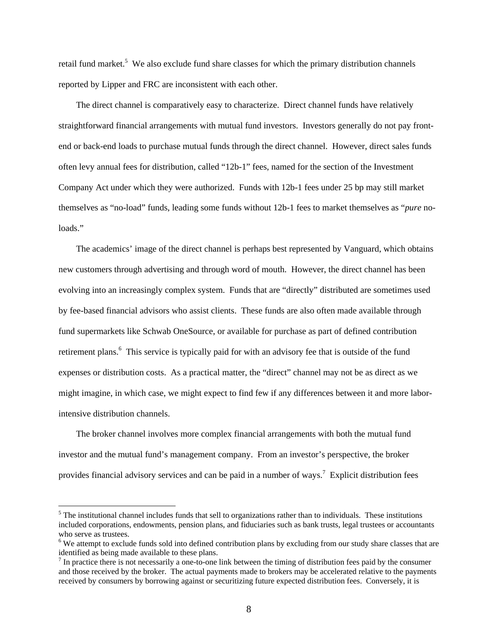retail fund market.<sup>5</sup> We also exclude fund share classes for which the primary distribution channels reported by Lipper and FRC are inconsistent with each other.

The direct channel is comparatively easy to characterize. Direct channel funds have relatively straightforward financial arrangements with mutual fund investors. Investors generally do not pay frontend or back-end loads to purchase mutual funds through the direct channel. However, direct sales funds often levy annual fees for distribution, called "12b-1" fees, named for the section of the Investment Company Act under which they were authorized. Funds with 12b-1 fees under 25 bp may still market themselves as "no-load" funds, leading some funds without 12b-1 fees to market themselves as "*pure* noloads."

The academics' image of the direct channel is perhaps best represented by Vanguard, which obtains new customers through advertising and through word of mouth. However, the direct channel has been evolving into an increasingly complex system. Funds that are "directly" distributed are sometimes used by fee-based financial advisors who assist clients. These funds are also often made available through fund supermarkets like Schwab OneSource, or available for purchase as part of defined contribution retirement plans.<sup>6</sup> This service is typically paid for with an advisory fee that is outside of the fund expenses or distribution costs. As a practical matter, the "direct" channel may not be as direct as we might imagine, in which case, we might expect to find few if any differences between it and more laborintensive distribution channels.

The broker channel involves more complex financial arrangements with both the mutual fund investor and the mutual fund's management company. From an investor's perspective, the broker provides financial advisory services and can be paid in a number of ways.<sup>7</sup> Explicit distribution fees

 $<sup>5</sup>$  The institutional channel includes funds that sell to organizations rather than to individuals. These institutions</sup> included corporations, endowments, pension plans, and fiduciaries such as bank trusts, legal trustees or accountants who serve as trustees.

<sup>&</sup>lt;sup>6</sup>We attempt to exclude funds sold into defined contribution plans by excluding from our study share classes that are identified as being made available to these plans.

 $<sup>7</sup>$  In practice there is not necessarily a one-to-one link between the timing of distribution fees paid by the consumer</sup> and those received by the broker. The actual payments made to brokers may be accelerated relative to the payments received by consumers by borrowing against or securitizing future expected distribution fees. Conversely, it is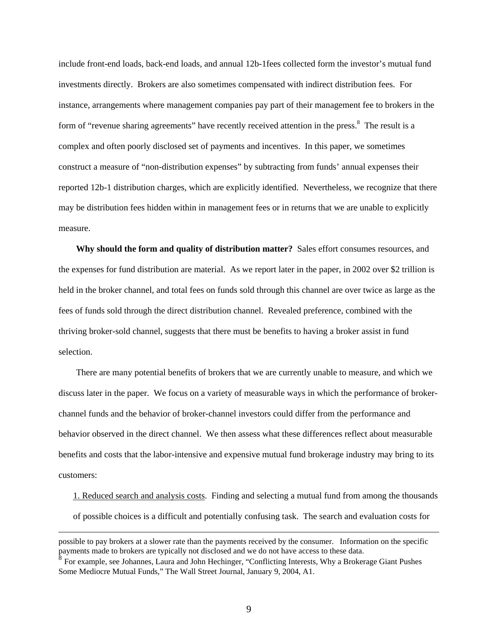include front-end loads, back-end loads, and annual 12b-1fees collected form the investor's mutual fund investments directly. Brokers are also sometimes compensated with indirect distribution fees. For instance, arrangements where management companies pay part of their management fee to brokers in the form of "revenue sharing agreements" have recently received attention in the press.<sup>8</sup> The result is a complex and often poorly disclosed set of payments and incentives. In this paper, we sometimes construct a measure of "non-distribution expenses" by subtracting from funds' annual expenses their reported 12b-1 distribution charges, which are explicitly identified. Nevertheless, we recognize that there may be distribution fees hidden within in management fees or in returns that we are unable to explicitly measure.

**Why should the form and quality of distribution matter?** Sales effort consumes resources, and the expenses for fund distribution are material. As we report later in the paper, in 2002 over \$2 trillion is held in the broker channel, and total fees on funds sold through this channel are over twice as large as the fees of funds sold through the direct distribution channel. Revealed preference, combined with the thriving broker-sold channel, suggests that there must be benefits to having a broker assist in fund selection.

There are many potential benefits of brokers that we are currently unable to measure, and which we discuss later in the paper. We focus on a variety of measurable ways in which the performance of brokerchannel funds and the behavior of broker-channel investors could differ from the performance and behavior observed in the direct channel. We then assess what these differences reflect about measurable benefits and costs that the labor-intensive and expensive mutual fund brokerage industry may bring to its customers:

1. Reduced search and analysis costs. Finding and selecting a mutual fund from among the thousands of possible choices is a difficult and potentially confusing task. The search and evaluation costs for

possible to pay brokers at a slower rate than the payments received by the consumer. Information on the specific payments made to brokers are typically not disclosed and we do not have access to these data.

<sup>8</sup> For example, see Johannes, Laura and John Hechinger, "Conflicting Interests, Why a Brokerage Giant Pushes Some Mediocre Mutual Funds," The Wall Street Journal, January 9, 2004, A1.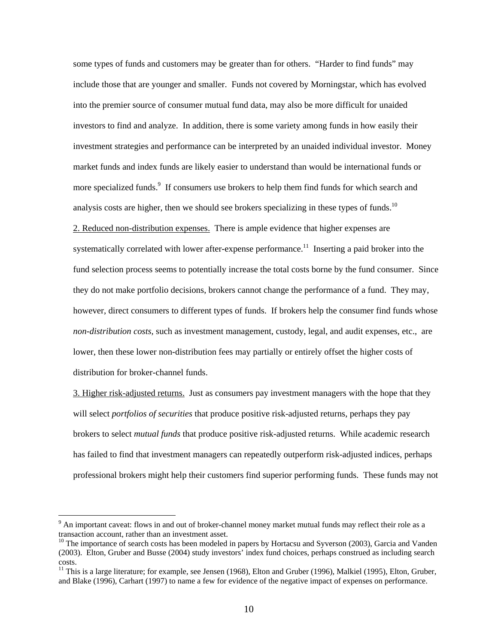some types of funds and customers may be greater than for others. "Harder to find funds" may include those that are younger and smaller. Funds not covered by Morningstar, which has evolved into the premier source of consumer mutual fund data, may also be more difficult for unaided investors to find and analyze. In addition, there is some variety among funds in how easily their investment strategies and performance can be interpreted by an unaided individual investor. Money market funds and index funds are likely easier to understand than would be international funds or more specialized funds.<sup>9</sup> If consumers use brokers to help them find funds for which search and analysis costs are higher, then we should see brokers specializing in these types of funds.<sup>10</sup> 2. Reduced non-distribution expenses. There is ample evidence that higher expenses are systematically correlated with lower after-expense performance.<sup>11</sup> Inserting a paid broker into the fund selection process seems to potentially increase the total costs borne by the fund consumer. Since they do not make portfolio decisions, brokers cannot change the performance of a fund. They may, however, direct consumers to different types of funds. If brokers help the consumer find funds whose *non-distribution costs,* such as investment management, custody, legal, and audit expenses, etc., are lower, then these lower non-distribution fees may partially or entirely offset the higher costs of distribution for broker-channel funds.

3. Higher risk-adjusted returns. Just as consumers pay investment managers with the hope that they will select *portfolios of securities* that produce positive risk-adjusted returns, perhaps they pay brokers to select *mutual funds* that produce positive risk-adjusted returns. While academic research has failed to find that investment managers can repeatedly outperform risk-adjusted indices, perhaps professional brokers might help their customers find superior performing funds. These funds may not

 $9$  An important caveat: flows in and out of broker-channel money market mutual funds may reflect their role as a transaction account, rather than an investment asset.

 $10$  The importance of search costs has been modeled in papers by Hortacsu and Syverson (2003), Garcia and Vanden (2003). Elton, Gruber and Busse (2004) study investors' index fund choices, perhaps construed as including search costs.

<sup>&</sup>lt;sup>11</sup> This is a large literature; for example, see Jensen (1968), Elton and Gruber (1996), Malkiel (1995), Elton, Gruber, and Blake (1996), Carhart (1997) to name a few for evidence of the negative impact of expenses on performance.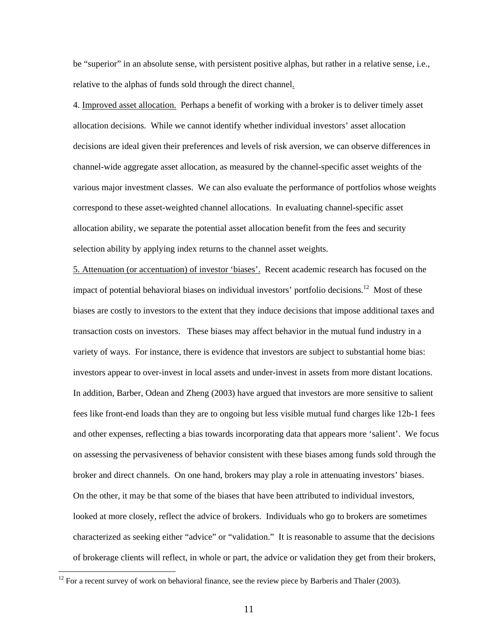be "superior" in an absolute sense, with persistent positive alphas, but rather in a relative sense, i.e., relative to the alphas of funds sold through the direct channel.

4. Improved asset allocation. Perhaps a benefit of working with a broker is to deliver timely asset allocation decisions. While we cannot identify whether individual investors' asset allocation decisions are ideal given their preferences and levels of risk aversion, we can observe differences in channel-wide aggregate asset allocation, as measured by the channel-specific asset weights of the various major investment classes. We can also evaluate the performance of portfolios whose weights correspond to these asset-weighted channel allocations. In evaluating channel-specific asset allocation ability, we separate the potential asset allocation benefit from the fees and security selection ability by applying index returns to the channel asset weights.

5. Attenuation (or accentuation) of investor 'biases'. Recent academic research has focused on the impact of potential behavioral biases on individual investors' portfolio decisions.<sup>12</sup> Most of these biases are costly to investors to the extent that they induce decisions that impose additional taxes and transaction costs on investors. These biases may affect behavior in the mutual fund industry in a variety of ways. For instance, there is evidence that investors are subject to substantial home bias: investors appear to over-invest in local assets and under-invest in assets from more distant locations. In addition, Barber, Odean and Zheng (2003) have argued that investors are more sensitive to salient fees like front-end loads than they are to ongoing but less visible mutual fund charges like 12b-1 fees and other expenses, reflecting a bias towards incorporating data that appears more 'salient'. We focus on assessing the pervasiveness of behavior consistent with these biases among funds sold through the broker and direct channels. On one hand, brokers may play a role in attenuating investors' biases. On the other, it may be that some of the biases that have been attributed to individual investors, looked at more closely, reflect the advice of brokers. Individuals who go to brokers are sometimes characterized as seeking either "advice" or "validation." It is reasonable to assume that the decisions of brokerage clients will reflect, in whole or part, the advice or validation they get from their brokers,

 $12$  For a recent survey of work on behavioral finance, see the review piece by Barberis and Thaler (2003).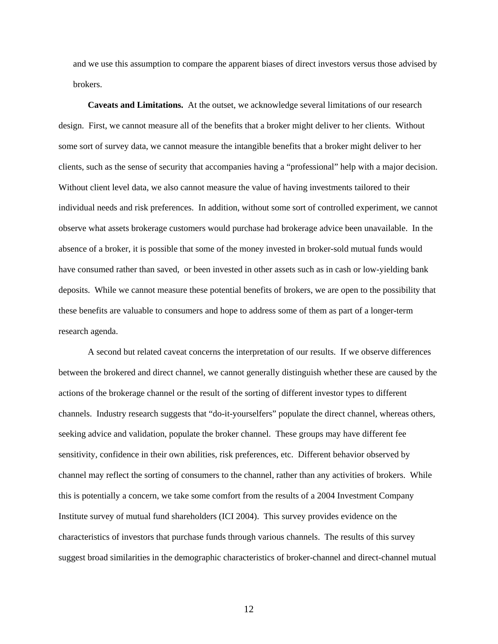and we use this assumption to compare the apparent biases of direct investors versus those advised by brokers.

**Caveats and Limitations.** At the outset, we acknowledge several limitations of our research design. First, we cannot measure all of the benefits that a broker might deliver to her clients. Without some sort of survey data, we cannot measure the intangible benefits that a broker might deliver to her clients, such as the sense of security that accompanies having a "professional" help with a major decision. Without client level data, we also cannot measure the value of having investments tailored to their individual needs and risk preferences. In addition, without some sort of controlled experiment, we cannot observe what assets brokerage customers would purchase had brokerage advice been unavailable. In the absence of a broker, it is possible that some of the money invested in broker-sold mutual funds would have consumed rather than saved, or been invested in other assets such as in cash or low-yielding bank deposits. While we cannot measure these potential benefits of brokers, we are open to the possibility that these benefits are valuable to consumers and hope to address some of them as part of a longer-term research agenda.

A second but related caveat concerns the interpretation of our results. If we observe differences between the brokered and direct channel, we cannot generally distinguish whether these are caused by the actions of the brokerage channel or the result of the sorting of different investor types to different channels. Industry research suggests that "do-it-yourselfers" populate the direct channel, whereas others, seeking advice and validation, populate the broker channel. These groups may have different fee sensitivity, confidence in their own abilities, risk preferences, etc. Different behavior observed by channel may reflect the sorting of consumers to the channel, rather than any activities of brokers. While this is potentially a concern, we take some comfort from the results of a 2004 Investment Company Institute survey of mutual fund shareholders (ICI 2004). This survey provides evidence on the characteristics of investors that purchase funds through various channels. The results of this survey suggest broad similarities in the demographic characteristics of broker-channel and direct-channel mutual

12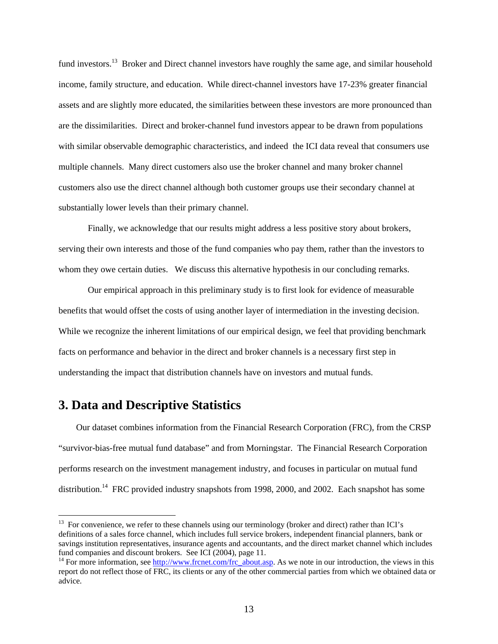fund investors.<sup>13</sup> Broker and Direct channel investors have roughly the same age, and similar household income, family structure, and education. While direct-channel investors have 17-23% greater financial assets and are slightly more educated, the similarities between these investors are more pronounced than are the dissimilarities. Direct and broker-channel fund investors appear to be drawn from populations with similar observable demographic characteristics, and indeed the ICI data reveal that consumers use multiple channels. Many direct customers also use the broker channel and many broker channel customers also use the direct channel although both customer groups use their secondary channel at substantially lower levels than their primary channel.

Finally, we acknowledge that our results might address a less positive story about brokers, serving their own interests and those of the fund companies who pay them, rather than the investors to whom they owe certain duties. We discuss this alternative hypothesis in our concluding remarks.

Our empirical approach in this preliminary study is to first look for evidence of measurable benefits that would offset the costs of using another layer of intermediation in the investing decision. While we recognize the inherent limitations of our empirical design, we feel that providing benchmark facts on performance and behavior in the direct and broker channels is a necessary first step in understanding the impact that distribution channels have on investors and mutual funds.

## **3. Data and Descriptive Statistics**

 $\overline{a}$ 

Our dataset combines information from the Financial Research Corporation (FRC), from the CRSP "survivor-bias-free mutual fund database" and from Morningstar. The Financial Research Corporation performs research on the investment management industry, and focuses in particular on mutual fund distribution.<sup>14</sup> FRC provided industry snapshots from 1998, 2000, and 2002. Each snapshot has some

 $13$  For convenience, we refer to these channels using our terminology (broker and direct) rather than ICI's definitions of a sales force channel, which includes full service brokers, independent financial planners, bank or savings institution representatives, insurance agents and accountants, and the direct market channel which includes fund companies and discount brokers. See ICI (2004), page 11.

<sup>&</sup>lt;sup>14</sup> For more information, see http://www.frcnet.com/frc\_about.asp. As we note in our introduction, the views in this report do not reflect those of FRC, its clients or any of the other commercial parties from which we obtained data or advice.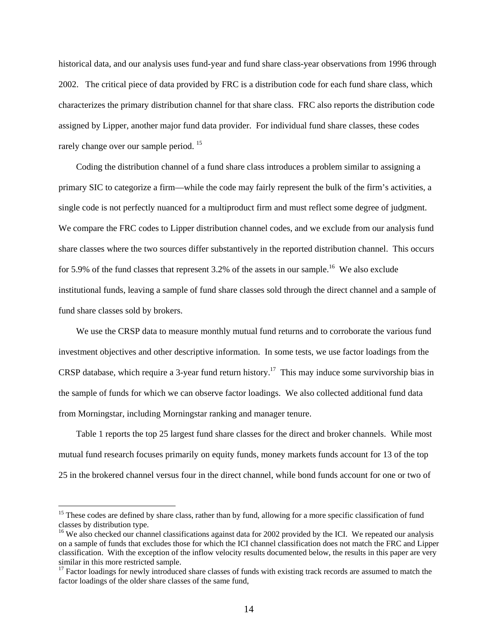historical data, and our analysis uses fund-year and fund share class-year observations from 1996 through 2002. The critical piece of data provided by FRC is a distribution code for each fund share class, which characterizes the primary distribution channel for that share class. FRC also reports the distribution code assigned by Lipper, another major fund data provider. For individual fund share classes, these codes rarely change over our sample period.<sup>15</sup>

Coding the distribution channel of a fund share class introduces a problem similar to assigning a primary SIC to categorize a firm—while the code may fairly represent the bulk of the firm's activities, a single code is not perfectly nuanced for a multiproduct firm and must reflect some degree of judgment. We compare the FRC codes to Lipper distribution channel codes, and we exclude from our analysis fund share classes where the two sources differ substantively in the reported distribution channel. This occurs for 5.9% of the fund classes that represent 3.2% of the assets in our sample.<sup>16</sup> We also exclude institutional funds, leaving a sample of fund share classes sold through the direct channel and a sample of fund share classes sold by brokers.

We use the CRSP data to measure monthly mutual fund returns and to corroborate the various fund investment objectives and other descriptive information. In some tests, we use factor loadings from the CRSP database, which require a 3-year fund return history.<sup>17</sup> This may induce some survivorship bias in the sample of funds for which we can observe factor loadings. We also collected additional fund data from Morningstar, including Morningstar ranking and manager tenure.

Table 1 reports the top 25 largest fund share classes for the direct and broker channels. While most mutual fund research focuses primarily on equity funds, money markets funds account for 13 of the top 25 in the brokered channel versus four in the direct channel, while bond funds account for one or two of

<sup>&</sup>lt;sup>15</sup> These codes are defined by share class, rather than by fund, allowing for a more specific classification of fund classes by distribution type.

<sup>&</sup>lt;sup>16</sup> We also checked our channel classifications against data for 2002 provided by the ICI. We repeated our analysis on a sample of funds that excludes those for which the ICI channel classification does not match the FRC and Lipper classification. With the exception of the inflow velocity results documented below, the results in this paper are very similar in this more restricted sample.

<sup>&</sup>lt;sup>17</sup> Factor loadings for newly introduced share classes of funds with existing track records are assumed to match the factor loadings of the older share classes of the same fund,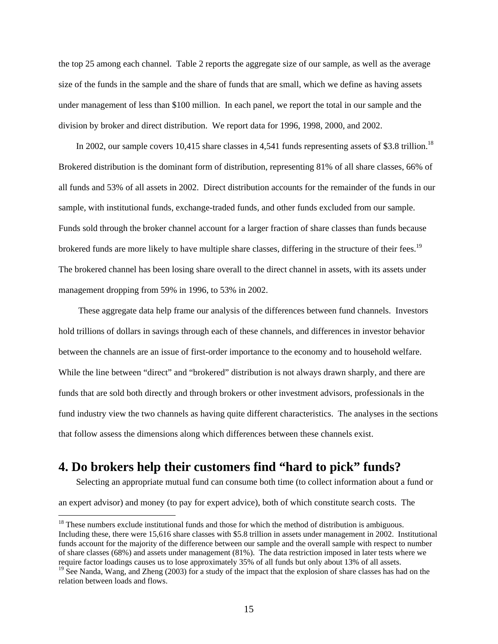the top 25 among each channel. Table 2 reports the aggregate size of our sample, as well as the average size of the funds in the sample and the share of funds that are small, which we define as having assets under management of less than \$100 million. In each panel, we report the total in our sample and the division by broker and direct distribution. We report data for 1996, 1998, 2000, and 2002.

In 2002, our sample covers 10,415 share classes in 4,541 funds representing assets of \$3.8 trillion.<sup>18</sup> Brokered distribution is the dominant form of distribution, representing 81% of all share classes, 66% of all funds and 53% of all assets in 2002. Direct distribution accounts for the remainder of the funds in our sample, with institutional funds, exchange-traded funds, and other funds excluded from our sample. Funds sold through the broker channel account for a larger fraction of share classes than funds because brokered funds are more likely to have multiple share classes, differing in the structure of their fees.<sup>19</sup> The brokered channel has been losing share overall to the direct channel in assets, with its assets under management dropping from 59% in 1996, to 53% in 2002.

 These aggregate data help frame our analysis of the differences between fund channels. Investors hold trillions of dollars in savings through each of these channels, and differences in investor behavior between the channels are an issue of first-order importance to the economy and to household welfare. While the line between "direct" and "brokered" distribution is not always drawn sharply, and there are funds that are sold both directly and through brokers or other investment advisors, professionals in the fund industry view the two channels as having quite different characteristics. The analyses in the sections that follow assess the dimensions along which differences between these channels exist.

## **4. Do brokers help their customers find "hard to pick" funds?**

 $\overline{a}$ 

Selecting an appropriate mutual fund can consume both time (to collect information about a fund or

an expert advisor) and money (to pay for expert advice), both of which constitute search costs. The

<sup>&</sup>lt;sup>18</sup> These numbers exclude institutional funds and those for which the method of distribution is ambiguous. Including these, there were 15,616 share classes with \$5.8 trillion in assets under management in 2002. Institutional funds account for the majority of the difference between our sample and the overall sample with respect to number of share classes (68%) and assets under management (81%). The data restriction imposed in later tests where we require factor loadings causes us to lose approximately 35% of all funds but only about 13% of all assets.

<sup>&</sup>lt;sup>19</sup> See Nanda, Wang, and Zheng (2003) for a study of the impact that the explosion of share classes has had on the relation between loads and flows.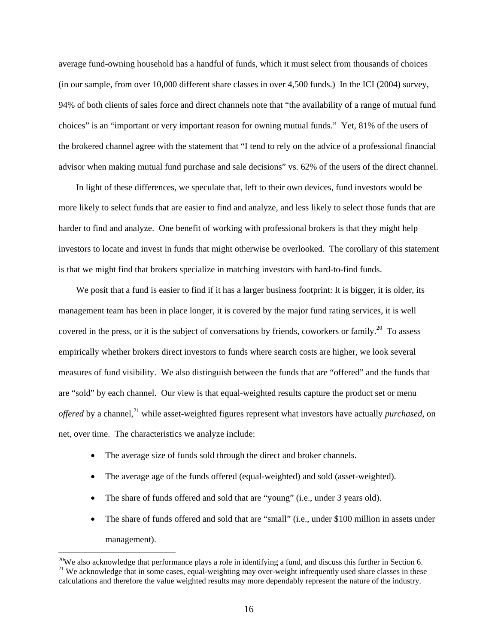average fund-owning household has a handful of funds, which it must select from thousands of choices (in our sample, from over 10,000 different share classes in over 4,500 funds.) In the ICI (2004) survey, 94% of both clients of sales force and direct channels note that "the availability of a range of mutual fund choices" is an "important or very important reason for owning mutual funds." Yet, 81% of the users of the brokered channel agree with the statement that "I tend to rely on the advice of a professional financial advisor when making mutual fund purchase and sale decisions" vs. 62% of the users of the direct channel.

In light of these differences, we speculate that, left to their own devices, fund investors would be more likely to select funds that are easier to find and analyze, and less likely to select those funds that are harder to find and analyze. One benefit of working with professional brokers is that they might help investors to locate and invest in funds that might otherwise be overlooked. The corollary of this statement is that we might find that brokers specialize in matching investors with hard-to-find funds.

We posit that a fund is easier to find if it has a larger business footprint: It is bigger, it is older, its management team has been in place longer, it is covered by the major fund rating services, it is well covered in the press, or it is the subject of conversations by friends, coworkers or family.<sup>20</sup> To assess empirically whether brokers direct investors to funds where search costs are higher, we look several measures of fund visibility. We also distinguish between the funds that are "offered" and the funds that are "sold" by each channel. Our view is that equal-weighted results capture the product set or menu *offered* by a channel,<sup>21</sup> while asset-weighted figures represent what investors have actually *purchased*, on net, over time. The characteristics we analyze include:

• The average size of funds sold through the direct and broker channels.

- The average age of the funds offered (equal-weighted) and sold (asset-weighted).
- The share of funds offered and sold that are "young" (i.e., under 3 years old).
- The share of funds offered and sold that are "small" (i.e., under \$100 million in assets under management).

<sup>&</sup>lt;sup>20</sup>We also acknowledge that performance plays a role in identifying a fund, and discuss this further in Section 6. <sup>21</sup> We acknowledge that in some cases, equal-weighting may over-weight infrequently used share classes in these calculations and therefore the value weighted results may more dependably represent the nature of the industry.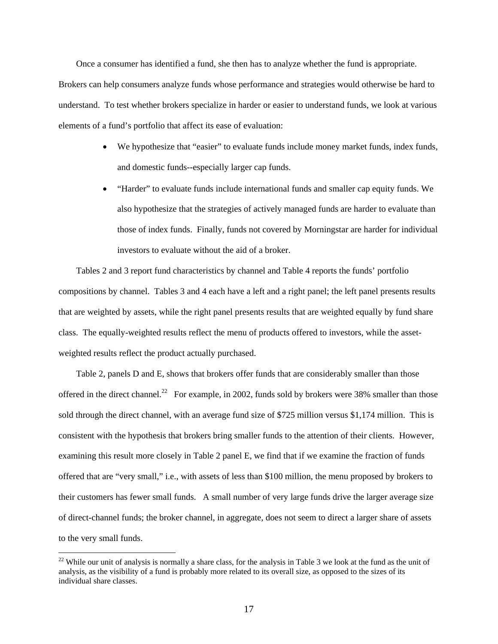Once a consumer has identified a fund, she then has to analyze whether the fund is appropriate. Brokers can help consumers analyze funds whose performance and strategies would otherwise be hard to understand. To test whether brokers specialize in harder or easier to understand funds, we look at various elements of a fund's portfolio that affect its ease of evaluation:

- We hypothesize that "easier" to evaluate funds include money market funds, index funds, and domestic funds--especially larger cap funds.
- "Harder" to evaluate funds include international funds and smaller cap equity funds. We also hypothesize that the strategies of actively managed funds are harder to evaluate than those of index funds. Finally, funds not covered by Morningstar are harder for individual investors to evaluate without the aid of a broker.

Tables 2 and 3 report fund characteristics by channel and Table 4 reports the funds' portfolio compositions by channel. Tables 3 and 4 each have a left and a right panel; the left panel presents results that are weighted by assets, while the right panel presents results that are weighted equally by fund share class. The equally-weighted results reflect the menu of products offered to investors, while the assetweighted results reflect the product actually purchased.

Table 2, panels D and E, shows that brokers offer funds that are considerably smaller than those offered in the direct channel.<sup>22</sup> For example, in 2002, funds sold by brokers were 38% smaller than those sold through the direct channel, with an average fund size of \$725 million versus \$1,174 million. This is consistent with the hypothesis that brokers bring smaller funds to the attention of their clients. However, examining this result more closely in Table 2 panel E, we find that if we examine the fraction of funds offered that are "very small," i.e., with assets of less than \$100 million, the menu proposed by brokers to their customers has fewer small funds. A small number of very large funds drive the larger average size of direct-channel funds; the broker channel, in aggregate, does not seem to direct a larger share of assets to the very small funds.

 $22$  While our unit of analysis is normally a share class, for the analysis in Table 3 we look at the fund as the unit of analysis, as the visibility of a fund is probably more related to its overall size, as opposed to the sizes of its individual share classes.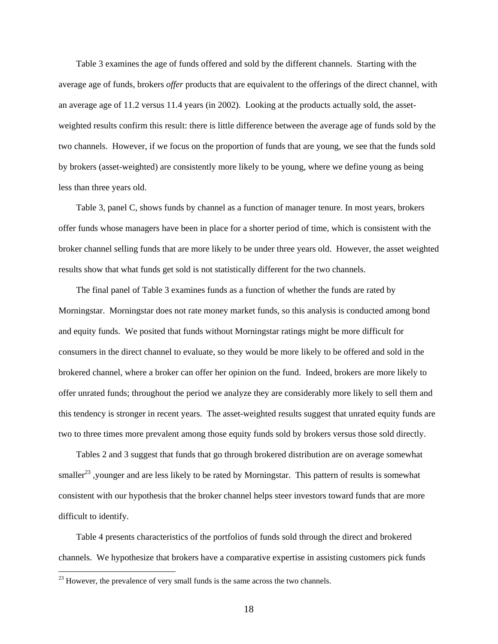Table 3 examines the age of funds offered and sold by the different channels. Starting with the average age of funds, brokers *offer* products that are equivalent to the offerings of the direct channel, with an average age of 11.2 versus 11.4 years (in 2002). Looking at the products actually sold, the assetweighted results confirm this result: there is little difference between the average age of funds sold by the two channels. However, if we focus on the proportion of funds that are young, we see that the funds sold by brokers (asset-weighted) are consistently more likely to be young, where we define young as being less than three years old.

Table 3, panel C, shows funds by channel as a function of manager tenure. In most years, brokers offer funds whose managers have been in place for a shorter period of time, which is consistent with the broker channel selling funds that are more likely to be under three years old. However, the asset weighted results show that what funds get sold is not statistically different for the two channels.

The final panel of Table 3 examines funds as a function of whether the funds are rated by Morningstar. Morningstar does not rate money market funds, so this analysis is conducted among bond and equity funds. We posited that funds without Morningstar ratings might be more difficult for consumers in the direct channel to evaluate, so they would be more likely to be offered and sold in the brokered channel, where a broker can offer her opinion on the fund. Indeed, brokers are more likely to offer unrated funds; throughout the period we analyze they are considerably more likely to sell them and this tendency is stronger in recent years. The asset-weighted results suggest that unrated equity funds are two to three times more prevalent among those equity funds sold by brokers versus those sold directly.

Tables 2 and 3 suggest that funds that go through brokered distribution are on average somewhat smaller<sup>23</sup>, younger and are less likely to be rated by Morningstar. This pattern of results is somewhat consistent with our hypothesis that the broker channel helps steer investors toward funds that are more difficult to identify.

Table 4 presents characteristics of the portfolios of funds sold through the direct and brokered channels. We hypothesize that brokers have a comparative expertise in assisting customers pick funds

 $23$  However, the prevalence of very small funds is the same across the two channels.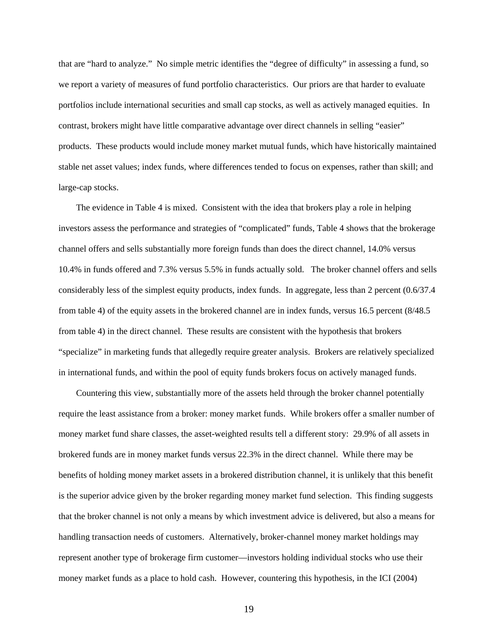that are "hard to analyze." No simple metric identifies the "degree of difficulty" in assessing a fund, so we report a variety of measures of fund portfolio characteristics. Our priors are that harder to evaluate portfolios include international securities and small cap stocks, as well as actively managed equities. In contrast, brokers might have little comparative advantage over direct channels in selling "easier" products. These products would include money market mutual funds, which have historically maintained stable net asset values; index funds, where differences tended to focus on expenses, rather than skill; and large-cap stocks.

The evidence in Table 4 is mixed. Consistent with the idea that brokers play a role in helping investors assess the performance and strategies of "complicated" funds, Table 4 shows that the brokerage channel offers and sells substantially more foreign funds than does the direct channel, 14.0% versus 10.4% in funds offered and 7.3% versus 5.5% in funds actually sold. The broker channel offers and sells considerably less of the simplest equity products, index funds. In aggregate, less than 2 percent (0.6/37.4 from table 4) of the equity assets in the brokered channel are in index funds, versus 16.5 percent (8/48.5 from table 4) in the direct channel. These results are consistent with the hypothesis that brokers "specialize" in marketing funds that allegedly require greater analysis. Brokers are relatively specialized in international funds, and within the pool of equity funds brokers focus on actively managed funds.

Countering this view, substantially more of the assets held through the broker channel potentially require the least assistance from a broker: money market funds. While brokers offer a smaller number of money market fund share classes, the asset-weighted results tell a different story: 29.9% of all assets in brokered funds are in money market funds versus 22.3% in the direct channel. While there may be benefits of holding money market assets in a brokered distribution channel, it is unlikely that this benefit is the superior advice given by the broker regarding money market fund selection. This finding suggests that the broker channel is not only a means by which investment advice is delivered, but also a means for handling transaction needs of customers. Alternatively, broker-channel money market holdings may represent another type of brokerage firm customer—investors holding individual stocks who use their money market funds as a place to hold cash. However, countering this hypothesis, in the ICI (2004)

19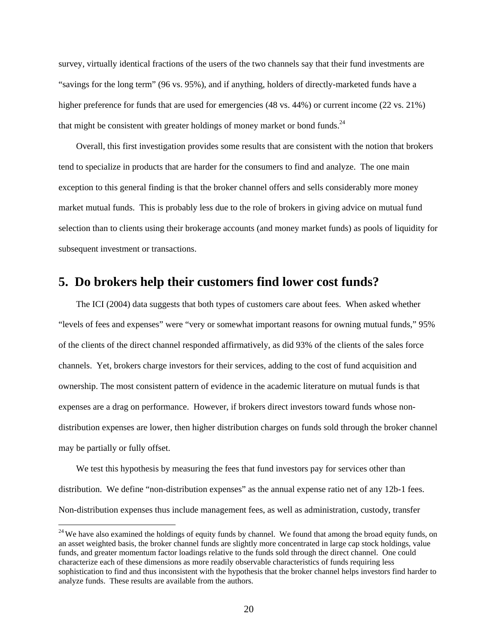survey, virtually identical fractions of the users of the two channels say that their fund investments are "savings for the long term" (96 vs. 95%), and if anything, holders of directly-marketed funds have a higher preference for funds that are used for emergencies (48 vs. 44%) or current income (22 vs. 21%) that might be consistent with greater holdings of money market or bond funds.<sup>24</sup>

Overall, this first investigation provides some results that are consistent with the notion that brokers tend to specialize in products that are harder for the consumers to find and analyze. The one main exception to this general finding is that the broker channel offers and sells considerably more money market mutual funds. This is probably less due to the role of brokers in giving advice on mutual fund selection than to clients using their brokerage accounts (and money market funds) as pools of liquidity for subsequent investment or transactions.

## **5. Do brokers help their customers find lower cost funds?**

The ICI (2004) data suggests that both types of customers care about fees. When asked whether "levels of fees and expenses" were "very or somewhat important reasons for owning mutual funds," 95% of the clients of the direct channel responded affirmatively, as did 93% of the clients of the sales force channels. Yet, brokers charge investors for their services, adding to the cost of fund acquisition and ownership. The most consistent pattern of evidence in the academic literature on mutual funds is that expenses are a drag on performance. However, if brokers direct investors toward funds whose nondistribution expenses are lower, then higher distribution charges on funds sold through the broker channel may be partially or fully offset.

We test this hypothesis by measuring the fees that fund investors pay for services other than distribution. We define "non-distribution expenses" as the annual expense ratio net of any 12b-1 fees. Non-distribution expenses thus include management fees, as well as administration, custody, transfer

<sup>&</sup>lt;sup>24</sup> We have also examined the holdings of equity funds by channel. We found that among the broad equity funds, on an asset weighted basis, the broker channel funds are slightly more concentrated in large cap stock holdings, value funds, and greater momentum factor loadings relative to the funds sold through the direct channel. One could characterize each of these dimensions as more readily observable characteristics of funds requiring less sophistication to find and thus inconsistent with the hypothesis that the broker channel helps investors find harder to analyze funds. These results are available from the authors.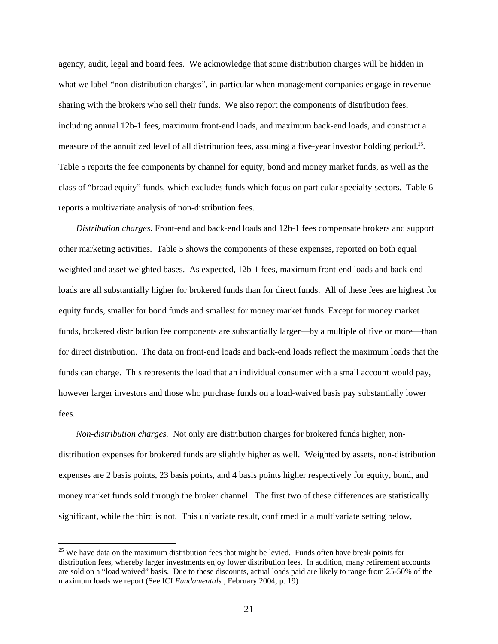agency, audit, legal and board fees. We acknowledge that some distribution charges will be hidden in what we label "non-distribution charges", in particular when management companies engage in revenue sharing with the brokers who sell their funds. We also report the components of distribution fees, including annual 12b-1 fees, maximum front-end loads, and maximum back-end loads, and construct a measure of the annuitized level of all distribution fees, assuming a five-year investor holding period.25. Table 5 reports the fee components by channel for equity, bond and money market funds, as well as the class of "broad equity" funds, which excludes funds which focus on particular specialty sectors. Table 6 reports a multivariate analysis of non-distribution fees.

*Distribution charges.* Front-end and back-end loads and 12b-1 fees compensate brokers and support other marketing activities. Table 5 shows the components of these expenses, reported on both equal weighted and asset weighted bases. As expected, 12b-1 fees, maximum front-end loads and back-end loads are all substantially higher for brokered funds than for direct funds. All of these fees are highest for equity funds, smaller for bond funds and smallest for money market funds. Except for money market funds, brokered distribution fee components are substantially larger—by a multiple of five or more—than for direct distribution. The data on front-end loads and back-end loads reflect the maximum loads that the funds can charge. This represents the load that an individual consumer with a small account would pay, however larger investors and those who purchase funds on a load-waived basis pay substantially lower fees.

*Non-distribution charges.* Not only are distribution charges for brokered funds higher, nondistribution expenses for brokered funds are slightly higher as well. Weighted by assets, non-distribution expenses are 2 basis points, 23 basis points, and 4 basis points higher respectively for equity, bond, and money market funds sold through the broker channel. The first two of these differences are statistically significant, while the third is not. This univariate result, confirmed in a multivariate setting below,

<sup>&</sup>lt;sup>25</sup> We have data on the maximum distribution fees that might be levied. Funds often have break points for distribution fees, whereby larger investments enjoy lower distribution fees. In addition, many retirement accounts are sold on a "load waived" basis. Due to these discounts, actual loads paid are likely to range from 25-50% of the maximum loads we report (See ICI *Fundamentals* , February 2004, p. 19)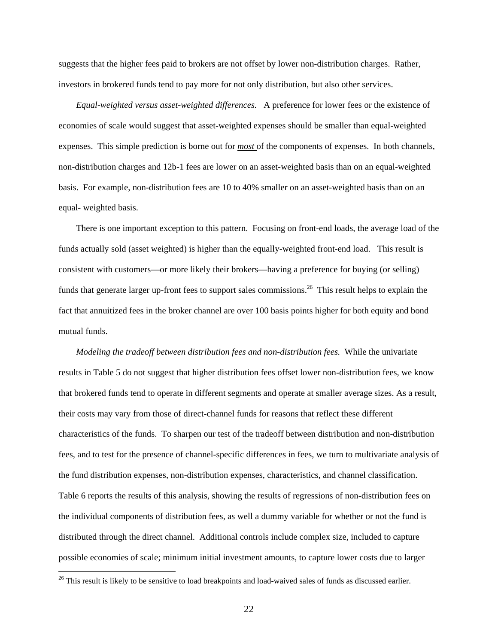suggests that the higher fees paid to brokers are not offset by lower non-distribution charges. Rather, investors in brokered funds tend to pay more for not only distribution, but also other services.

*Equal-weighted versus asset-weighted differences.* A preference for lower fees or the existence of economies of scale would suggest that asset-weighted expenses should be smaller than equal-weighted expenses. This simple prediction is borne out for *most* of the components of expenses. In both channels, non-distribution charges and 12b-1 fees are lower on an asset-weighted basis than on an equal-weighted basis. For example, non-distribution fees are 10 to 40% smaller on an asset-weighted basis than on an equal- weighted basis.

There is one important exception to this pattern. Focusing on front-end loads, the average load of the funds actually sold (asset weighted) is higher than the equally-weighted front-end load. This result is consistent with customers—or more likely their brokers—having a preference for buying (or selling) funds that generate larger up-front fees to support sales commissions.<sup>26</sup> This result helps to explain the fact that annuitized fees in the broker channel are over 100 basis points higher for both equity and bond mutual funds.

*Modeling the tradeoff between distribution fees and non-distribution fees.* While the univariate results in Table 5 do not suggest that higher distribution fees offset lower non-distribution fees, we know that brokered funds tend to operate in different segments and operate at smaller average sizes. As a result, their costs may vary from those of direct-channel funds for reasons that reflect these different characteristics of the funds. To sharpen our test of the tradeoff between distribution and non-distribution fees, and to test for the presence of channel-specific differences in fees, we turn to multivariate analysis of the fund distribution expenses, non-distribution expenses, characteristics, and channel classification. Table 6 reports the results of this analysis, showing the results of regressions of non-distribution fees on the individual components of distribution fees, as well a dummy variable for whether or not the fund is distributed through the direct channel. Additional controls include complex size, included to capture possible economies of scale; minimum initial investment amounts, to capture lower costs due to larger

 $26$  This result is likely to be sensitive to load breakpoints and load-waived sales of funds as discussed earlier.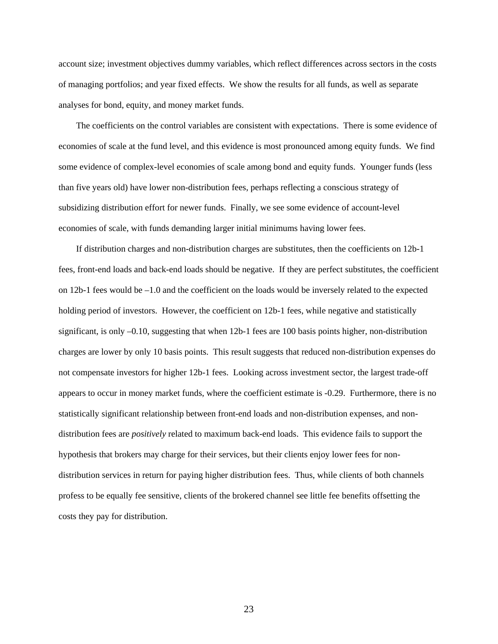account size; investment objectives dummy variables, which reflect differences across sectors in the costs of managing portfolios; and year fixed effects. We show the results for all funds, as well as separate analyses for bond, equity, and money market funds.

The coefficients on the control variables are consistent with expectations. There is some evidence of economies of scale at the fund level, and this evidence is most pronounced among equity funds. We find some evidence of complex-level economies of scale among bond and equity funds. Younger funds (less than five years old) have lower non-distribution fees, perhaps reflecting a conscious strategy of subsidizing distribution effort for newer funds. Finally, we see some evidence of account-level economies of scale, with funds demanding larger initial minimums having lower fees.

If distribution charges and non-distribution charges are substitutes, then the coefficients on 12b-1 fees, front-end loads and back-end loads should be negative. If they are perfect substitutes, the coefficient on 12b-1 fees would be –1.0 and the coefficient on the loads would be inversely related to the expected holding period of investors. However, the coefficient on 12b-1 fees, while negative and statistically significant, is only –0.10, suggesting that when 12b-1 fees are 100 basis points higher, non-distribution charges are lower by only 10 basis points. This result suggests that reduced non-distribution expenses do not compensate investors for higher 12b-1 fees. Looking across investment sector, the largest trade-off appears to occur in money market funds, where the coefficient estimate is -0.29. Furthermore, there is no statistically significant relationship between front-end loads and non-distribution expenses, and nondistribution fees are *positively* related to maximum back-end loads. This evidence fails to support the hypothesis that brokers may charge for their services, but their clients enjoy lower fees for nondistribution services in return for paying higher distribution fees. Thus, while clients of both channels profess to be equally fee sensitive, clients of the brokered channel see little fee benefits offsetting the costs they pay for distribution.

23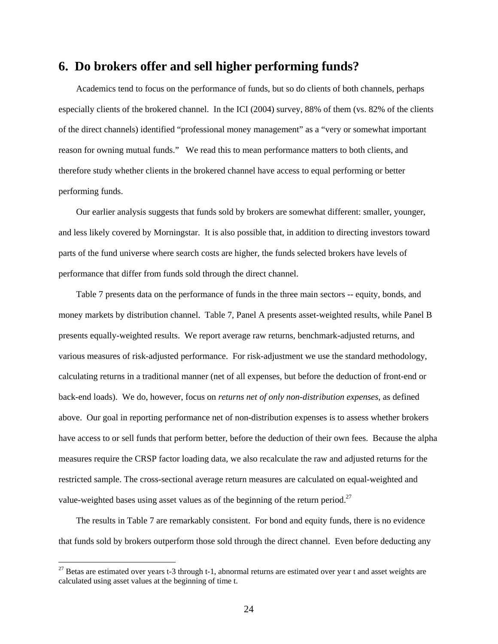## **6. Do brokers offer and sell higher performing funds?**

Academics tend to focus on the performance of funds, but so do clients of both channels, perhaps especially clients of the brokered channel. In the ICI (2004) survey, 88% of them (vs. 82% of the clients of the direct channels) identified "professional money management" as a "very or somewhat important reason for owning mutual funds." We read this to mean performance matters to both clients, and therefore study whether clients in the brokered channel have access to equal performing or better performing funds.

Our earlier analysis suggests that funds sold by brokers are somewhat different: smaller, younger, and less likely covered by Morningstar. It is also possible that, in addition to directing investors toward parts of the fund universe where search costs are higher, the funds selected brokers have levels of performance that differ from funds sold through the direct channel.

Table 7 presents data on the performance of funds in the three main sectors -- equity, bonds, and money markets by distribution channel. Table 7, Panel A presents asset-weighted results, while Panel B presents equally-weighted results. We report average raw returns, benchmark-adjusted returns, and various measures of risk-adjusted performance. For risk-adjustment we use the standard methodology, calculating returns in a traditional manner (net of all expenses, but before the deduction of front-end or back-end loads). We do, however, focus on *returns net of only non-distribution expenses*, as defined above. Our goal in reporting performance net of non-distribution expenses is to assess whether brokers have access to or sell funds that perform better, before the deduction of their own fees. Because the alpha measures require the CRSP factor loading data, we also recalculate the raw and adjusted returns for the restricted sample. The cross-sectional average return measures are calculated on equal-weighted and value-weighted bases using asset values as of the beginning of the return period.<sup>27</sup>

The results in Table 7 are remarkably consistent. For bond and equity funds, there is no evidence that funds sold by brokers outperform those sold through the direct channel. Even before deducting any

 $27$  Betas are estimated over years t-3 through t-1, abnormal returns are estimated over year t and asset weights are calculated using asset values at the beginning of time t.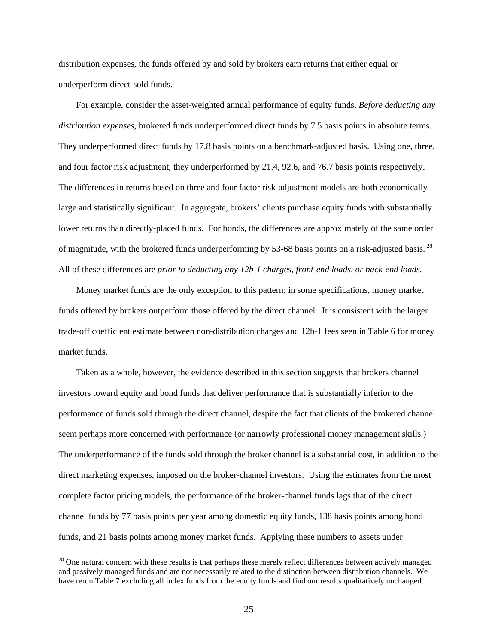distribution expenses, the funds offered by and sold by brokers earn returns that either equal or underperform direct-sold funds.

For example, consider the asset-weighted annual performance of equity funds. *Before deducting any distribution expenses*, brokered funds underperformed direct funds by 7.5 basis points in absolute terms. They underperformed direct funds by 17.8 basis points on a benchmark-adjusted basis. Using one, three, and four factor risk adjustment, they underperformed by 21.4, 92.6, and 76.7 basis points respectively. The differences in returns based on three and four factor risk-adjustment models are both economically large and statistically significant. In aggregate, brokers' clients purchase equity funds with substantially lower returns than directly-placed funds. For bonds, the differences are approximately of the same order of magnitude, with the brokered funds underperforming by 53-68 basis points on a risk-adjusted basis. 28 All of these differences are *prior to deducting any 12b-1 charges, front-end loads, or back-end loads.*

Money market funds are the only exception to this pattern; in some specifications, money market funds offered by brokers outperform those offered by the direct channel. It is consistent with the larger trade-off coefficient estimate between non-distribution charges and 12b-1 fees seen in Table 6 for money market funds.

Taken as a whole, however, the evidence described in this section suggests that brokers channel investors toward equity and bond funds that deliver performance that is substantially inferior to the performance of funds sold through the direct channel, despite the fact that clients of the brokered channel seem perhaps more concerned with performance (or narrowly professional money management skills.) The underperformance of the funds sold through the broker channel is a substantial cost, in addition to the direct marketing expenses, imposed on the broker-channel investors. Using the estimates from the most complete factor pricing models, the performance of the broker-channel funds lags that of the direct channel funds by 77 basis points per year among domestic equity funds, 138 basis points among bond funds, and 21 basis points among money market funds. Applying these numbers to assets under

 $28$  One natural concern with these results is that perhaps these merely reflect differences between actively managed and passively managed funds and are not necessarily related to the distinction between distribution channels. We have rerun Table 7 excluding all index funds from the equity funds and find our results qualitatively unchanged.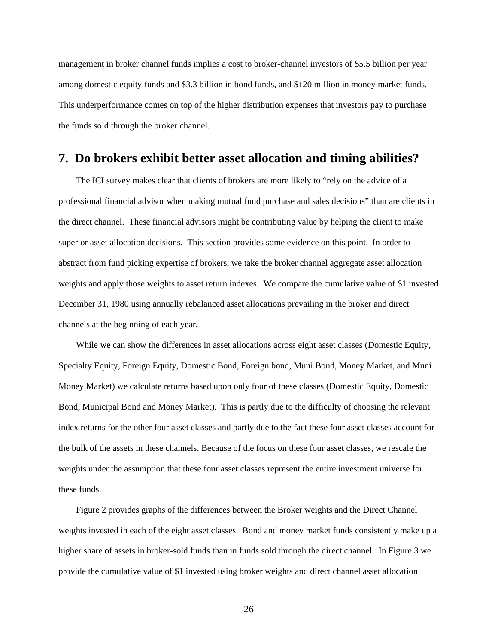management in broker channel funds implies a cost to broker-channel investors of \$5.5 billion per year among domestic equity funds and \$3.3 billion in bond funds, and \$120 million in money market funds. This underperformance comes on top of the higher distribution expenses that investors pay to purchase the funds sold through the broker channel.

## **7. Do brokers exhibit better asset allocation and timing abilities?**

The ICI survey makes clear that clients of brokers are more likely to "rely on the advice of a professional financial advisor when making mutual fund purchase and sales decisions" than are clients in the direct channel. These financial advisors might be contributing value by helping the client to make superior asset allocation decisions. This section provides some evidence on this point. In order to abstract from fund picking expertise of brokers, we take the broker channel aggregate asset allocation weights and apply those weights to asset return indexes. We compare the cumulative value of \$1 invested December 31, 1980 using annually rebalanced asset allocations prevailing in the broker and direct channels at the beginning of each year.

While we can show the differences in asset allocations across eight asset classes (Domestic Equity, Specialty Equity, Foreign Equity, Domestic Bond, Foreign bond, Muni Bond, Money Market, and Muni Money Market) we calculate returns based upon only four of these classes (Domestic Equity, Domestic Bond, Municipal Bond and Money Market). This is partly due to the difficulty of choosing the relevant index returns for the other four asset classes and partly due to the fact these four asset classes account for the bulk of the assets in these channels. Because of the focus on these four asset classes, we rescale the weights under the assumption that these four asset classes represent the entire investment universe for these funds.

Figure 2 provides graphs of the differences between the Broker weights and the Direct Channel weights invested in each of the eight asset classes. Bond and money market funds consistently make up a higher share of assets in broker-sold funds than in funds sold through the direct channel. In Figure 3 we provide the cumulative value of \$1 invested using broker weights and direct channel asset allocation

26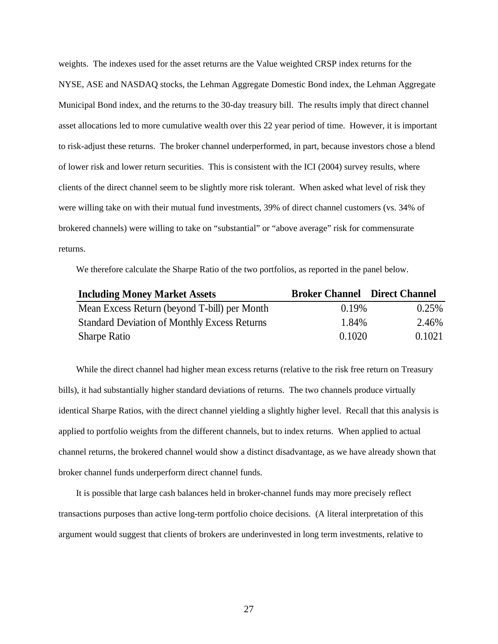weights. The indexes used for the asset returns are the Value weighted CRSP index returns for the NYSE, ASE and NASDAQ stocks, the Lehman Aggregate Domestic Bond index, the Lehman Aggregate Municipal Bond index, and the returns to the 30-day treasury bill. The results imply that direct channel asset allocations led to more cumulative wealth over this 22 year period of time. However, it is important to risk-adjust these returns. The broker channel underperformed, in part, because investors chose a blend of lower risk and lower return securities. This is consistent with the ICI (2004) survey results, where clients of the direct channel seem to be slightly more risk tolerant. When asked what level of risk they were willing take on with their mutual fund investments, 39% of direct channel customers (vs. 34% of brokered channels) were willing to take on "substantial" or "above average" risk for commensurate returns.

We therefore calculate the Sharpe Ratio of the two portfolios, as reported in the panel below.

| <b>Including Money Market Assets</b>                | <b>Broker Channel Direct Channel</b> |        |
|-----------------------------------------------------|--------------------------------------|--------|
| Mean Excess Return (beyond T-bill) per Month        | 0.19%                                | 0.25%  |
| <b>Standard Deviation of Monthly Excess Returns</b> | 1.84%                                | 2.46%  |
| <b>Sharpe Ratio</b>                                 | 0.1020                               | 0.1021 |

While the direct channel had higher mean excess returns (relative to the risk free return on Treasury bills), it had substantially higher standard deviations of returns. The two channels produce virtually identical Sharpe Ratios, with the direct channel yielding a slightly higher level. Recall that this analysis is applied to portfolio weights from the different channels, but to index returns. When applied to actual channel returns, the brokered channel would show a distinct disadvantage, as we have already shown that broker channel funds underperform direct channel funds.

It is possible that large cash balances held in broker-channel funds may more precisely reflect transactions purposes than active long-term portfolio choice decisions. (A literal interpretation of this argument would suggest that clients of brokers are underinvested in long term investments, relative to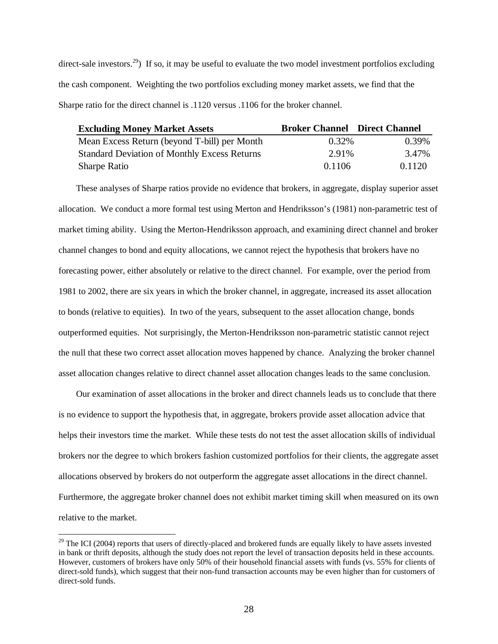direct-sale investors.<sup>29</sup>) If so, it may be useful to evaluate the two model investment portfolios excluding the cash component. Weighting the two portfolios excluding money market assets, we find that the Sharpe ratio for the direct channel is .1120 versus .1106 for the broker channel.

| <b>Excluding Money Market Assets</b>                | <b>Broker Channel Direct Channel</b> |          |
|-----------------------------------------------------|--------------------------------------|----------|
| Mean Excess Return (beyond T-bill) per Month        | $0.32\%$                             | $0.39\%$ |
| <b>Standard Deviation of Monthly Excess Returns</b> | 2.91%                                | 3.47%    |
| <b>Sharpe Ratio</b>                                 | 0.1106                               | 0.1120   |

These analyses of Sharpe ratios provide no evidence that brokers, in aggregate, display superior asset allocation. We conduct a more formal test using Merton and Hendriksson's (1981) non-parametric test of market timing ability. Using the Merton-Hendriksson approach, and examining direct channel and broker channel changes to bond and equity allocations, we cannot reject the hypothesis that brokers have no forecasting power, either absolutely or relative to the direct channel. For example, over the period from 1981 to 2002, there are six years in which the broker channel, in aggregate, increased its asset allocation to bonds (relative to equities). In two of the years, subsequent to the asset allocation change, bonds outperformed equities. Not surprisingly, the Merton-Hendriksson non-parametric statistic cannot reject the null that these two correct asset allocation moves happened by chance. Analyzing the broker channel asset allocation changes relative to direct channel asset allocation changes leads to the same conclusion.

Our examination of asset allocations in the broker and direct channels leads us to conclude that there is no evidence to support the hypothesis that, in aggregate, brokers provide asset allocation advice that helps their investors time the market. While these tests do not test the asset allocation skills of individual brokers nor the degree to which brokers fashion customized portfolios for their clients, the aggregate asset allocations observed by brokers do not outperform the aggregate asset allocations in the direct channel. Furthermore, the aggregate broker channel does not exhibit market timing skill when measured on its own relative to the market.

 $29$  The ICI (2004) reports that users of directly-placed and brokered funds are equally likely to have assets invested in bank or thrift deposits, although the study does not report the level of transaction deposits held in these accounts. However, customers of brokers have only 50% of their household financial assets with funds (vs. 55% for clients of direct-sold funds), which suggest that their non-fund transaction accounts may be even higher than for customers of direct-sold funds.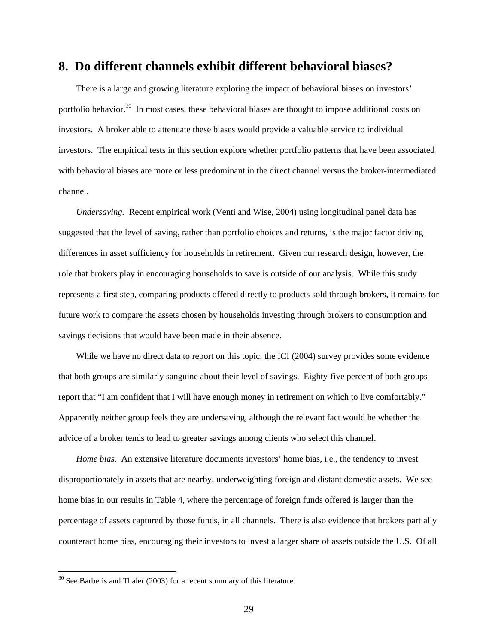## **8. Do different channels exhibit different behavioral biases?**

There is a large and growing literature exploring the impact of behavioral biases on investors' portfolio behavior.<sup>30</sup> In most cases, these behavioral biases are thought to impose additional costs on investors. A broker able to attenuate these biases would provide a valuable service to individual investors. The empirical tests in this section explore whether portfolio patterns that have been associated with behavioral biases are more or less predominant in the direct channel versus the broker-intermediated channel.

*Undersaving.* Recent empirical work (Venti and Wise, 2004) using longitudinal panel data has suggested that the level of saving, rather than portfolio choices and returns, is the major factor driving differences in asset sufficiency for households in retirement. Given our research design, however, the role that brokers play in encouraging households to save is outside of our analysis. While this study represents a first step, comparing products offered directly to products sold through brokers, it remains for future work to compare the assets chosen by households investing through brokers to consumption and savings decisions that would have been made in their absence.

While we have no direct data to report on this topic, the ICI (2004) survey provides some evidence that both groups are similarly sanguine about their level of savings. Eighty-five percent of both groups report that "I am confident that I will have enough money in retirement on which to live comfortably." Apparently neither group feels they are undersaving, although the relevant fact would be whether the advice of a broker tends to lead to greater savings among clients who select this channel.

*Home bias.* An extensive literature documents investors' home bias, i.e., the tendency to invest disproportionately in assets that are nearby, underweighting foreign and distant domestic assets. We see home bias in our results in Table 4, where the percentage of foreign funds offered is larger than the percentage of assets captured by those funds, in all channels. There is also evidence that brokers partially counteract home bias, encouraging their investors to invest a larger share of assets outside the U.S. Of all

 $30$  See Barberis and Thaler (2003) for a recent summary of this literature.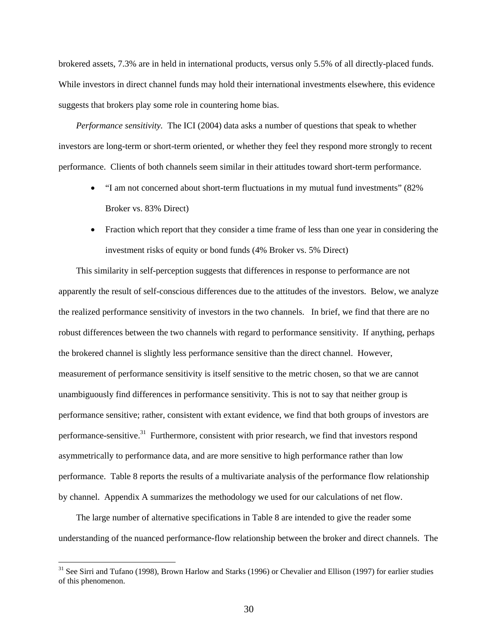brokered assets, 7.3% are in held in international products, versus only 5.5% of all directly-placed funds. While investors in direct channel funds may hold their international investments elsewhere, this evidence suggests that brokers play some role in countering home bias.

*Performance sensitivity.* The ICI (2004) data asks a number of questions that speak to whether investors are long-term or short-term oriented, or whether they feel they respond more strongly to recent performance. Clients of both channels seem similar in their attitudes toward short-term performance.

- "I am not concerned about short-term fluctuations in my mutual fund investments" (82% Broker vs. 83% Direct)
- Fraction which report that they consider a time frame of less than one year in considering the investment risks of equity or bond funds (4% Broker vs. 5% Direct)

This similarity in self-perception suggests that differences in response to performance are not apparently the result of self-conscious differences due to the attitudes of the investors. Below, we analyze the realized performance sensitivity of investors in the two channels. In brief, we find that there are no robust differences between the two channels with regard to performance sensitivity. If anything, perhaps the brokered channel is slightly less performance sensitive than the direct channel. However, measurement of performance sensitivity is itself sensitive to the metric chosen, so that we are cannot unambiguously find differences in performance sensitivity. This is not to say that neither group is performance sensitive; rather, consistent with extant evidence, we find that both groups of investors are performance-sensitive.<sup>31</sup> Furthermore, consistent with prior research, we find that investors respond asymmetrically to performance data, and are more sensitive to high performance rather than low performance. Table 8 reports the results of a multivariate analysis of the performance flow relationship by channel. Appendix A summarizes the methodology we used for our calculations of net flow.

The large number of alternative specifications in Table 8 are intended to give the reader some understanding of the nuanced performance-flow relationship between the broker and direct channels. The

<sup>&</sup>lt;sup>31</sup> See Sirri and Tufano (1998), Brown Harlow and Starks (1996) or Chevalier and Ellison (1997) for earlier studies of this phenomenon.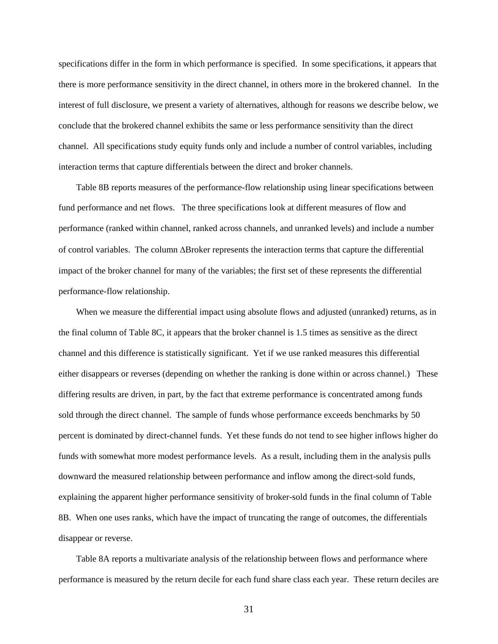specifications differ in the form in which performance is specified. In some specifications, it appears that there is more performance sensitivity in the direct channel, in others more in the brokered channel. In the interest of full disclosure, we present a variety of alternatives, although for reasons we describe below, we conclude that the brokered channel exhibits the same or less performance sensitivity than the direct channel. All specifications study equity funds only and include a number of control variables, including interaction terms that capture differentials between the direct and broker channels.

Table 8B reports measures of the performance-flow relationship using linear specifications between fund performance and net flows. The three specifications look at different measures of flow and performance (ranked within channel, ranked across channels, and unranked levels) and include a number of control variables. The column ∆Broker represents the interaction terms that capture the differential impact of the broker channel for many of the variables; the first set of these represents the differential performance-flow relationship.

When we measure the differential impact using absolute flows and adjusted (unranked) returns, as in the final column of Table 8C, it appears that the broker channel is 1.5 times as sensitive as the direct channel and this difference is statistically significant. Yet if we use ranked measures this differential either disappears or reverses (depending on whether the ranking is done within or across channel.) These differing results are driven, in part, by the fact that extreme performance is concentrated among funds sold through the direct channel. The sample of funds whose performance exceeds benchmarks by 50 percent is dominated by direct-channel funds. Yet these funds do not tend to see higher inflows higher do funds with somewhat more modest performance levels. As a result, including them in the analysis pulls downward the measured relationship between performance and inflow among the direct-sold funds, explaining the apparent higher performance sensitivity of broker-sold funds in the final column of Table 8B. When one uses ranks, which have the impact of truncating the range of outcomes, the differentials disappear or reverse.

Table 8A reports a multivariate analysis of the relationship between flows and performance where performance is measured by the return decile for each fund share class each year. These return deciles are

31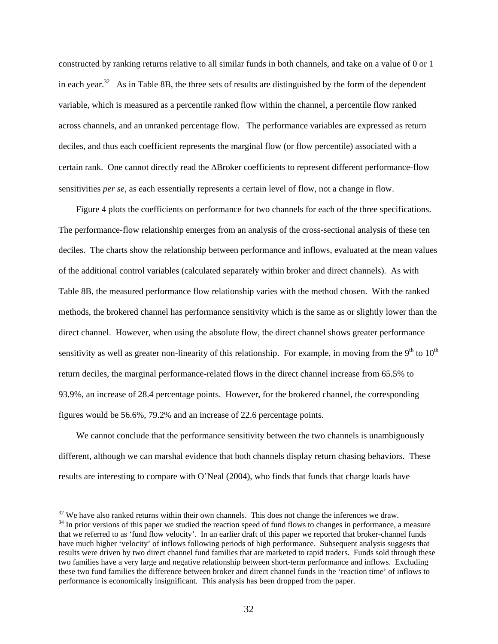constructed by ranking returns relative to all similar funds in both channels, and take on a value of 0 or 1 in each year.<sup>32</sup> As in Table 8B, the three sets of results are distinguished by the form of the dependent variable, which is measured as a percentile ranked flow within the channel, a percentile flow ranked across channels, and an unranked percentage flow. The performance variables are expressed as return deciles, and thus each coefficient represents the marginal flow (or flow percentile) associated with a certain rank. One cannot directly read the ∆Broker coefficients to represent different performance-flow sensitivities *per se*, as each essentially represents a certain level of flow, not a change in flow.

Figure 4 plots the coefficients on performance for two channels for each of the three specifications. The performance-flow relationship emerges from an analysis of the cross-sectional analysis of these ten deciles. The charts show the relationship between performance and inflows, evaluated at the mean values of the additional control variables (calculated separately within broker and direct channels). As with Table 8B, the measured performance flow relationship varies with the method chosen. With the ranked methods, the brokered channel has performance sensitivity which is the same as or slightly lower than the direct channel. However, when using the absolute flow, the direct channel shows greater performance sensitivity as well as greater non-linearity of this relationship. For example, in moving from the  $9<sup>th</sup>$  to  $10<sup>th</sup>$ return deciles, the marginal performance-related flows in the direct channel increase from 65.5% to 93.9%, an increase of 28.4 percentage points. However, for the brokered channel, the corresponding figures would be 56.6%, 79.2% and an increase of 22.6 percentage points.

We cannot conclude that the performance sensitivity between the two channels is unambiguously different, although we can marshal evidence that both channels display return chasing behaviors. These results are interesting to compare with O'Neal (2004), who finds that funds that charge loads have

 $32$  We have also ranked returns within their own channels. This does not change the inferences we draw.<br><sup>34</sup> In prior versions of this paper we studied the reaction speed of fund flows to changes in performance, a measur that we referred to as 'fund flow velocity'. In an earlier draft of this paper we reported that broker-channel funds have much higher 'velocity' of inflows following periods of high performance. Subsequent analysis suggests that results were driven by two direct channel fund families that are marketed to rapid traders. Funds sold through these two families have a very large and negative relationship between short-term performance and inflows. Excluding these two fund families the difference between broker and direct channel funds in the 'reaction time' of inflows to performance is economically insignificant. This analysis has been dropped from the paper.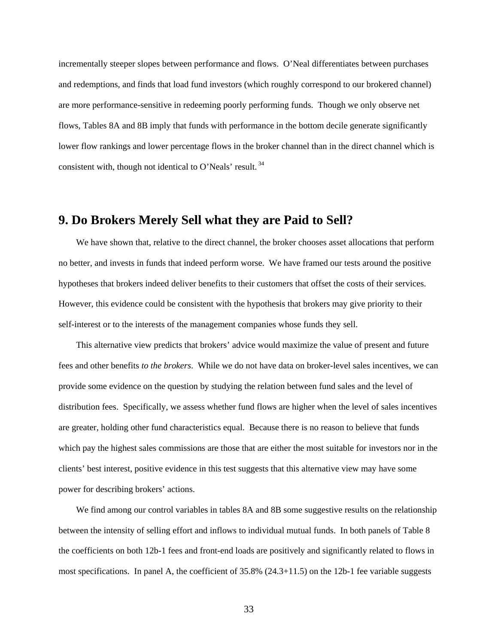incrementally steeper slopes between performance and flows. O'Neal differentiates between purchases and redemptions, and finds that load fund investors (which roughly correspond to our brokered channel) are more performance-sensitive in redeeming poorly performing funds. Though we only observe net flows, Tables 8A and 8B imply that funds with performance in the bottom decile generate significantly lower flow rankings and lower percentage flows in the broker channel than in the direct channel which is consistent with, though not identical to O'Neals' result. 34

## **9. Do Brokers Merely Sell what they are Paid to Sell?**

We have shown that, relative to the direct channel, the broker chooses asset allocations that perform no better, and invests in funds that indeed perform worse. We have framed our tests around the positive hypotheses that brokers indeed deliver benefits to their customers that offset the costs of their services. However, this evidence could be consistent with the hypothesis that brokers may give priority to their self-interest or to the interests of the management companies whose funds they sell.

This alternative view predicts that brokers' advice would maximize the value of present and future fees and other benefits *to the brokers*. While we do not have data on broker-level sales incentives, we can provide some evidence on the question by studying the relation between fund sales and the level of distribution fees. Specifically, we assess whether fund flows are higher when the level of sales incentives are greater, holding other fund characteristics equal. Because there is no reason to believe that funds which pay the highest sales commissions are those that are either the most suitable for investors nor in the clients' best interest, positive evidence in this test suggests that this alternative view may have some power for describing brokers' actions.

We find among our control variables in tables 8A and 8B some suggestive results on the relationship between the intensity of selling effort and inflows to individual mutual funds. In both panels of Table 8 the coefficients on both 12b-1 fees and front-end loads are positively and significantly related to flows in most specifications. In panel A, the coefficient of 35.8% (24.3+11.5) on the 12b-1 fee variable suggests

33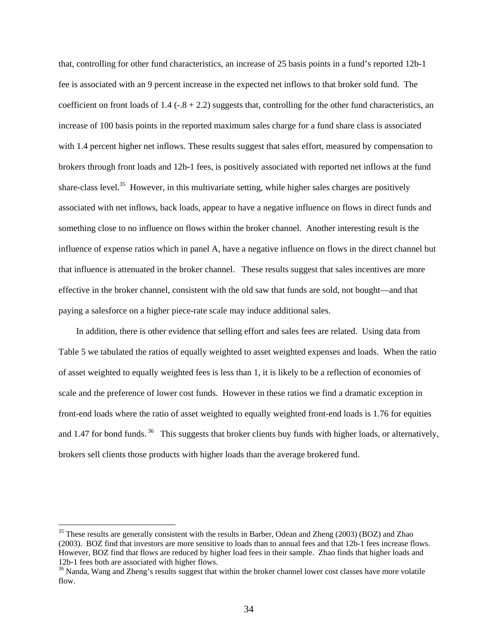that, controlling for other fund characteristics, an increase of 25 basis points in a fund's reported 12b-1 fee is associated with an 9 percent increase in the expected net inflows to that broker sold fund. The coefficient on front loads of  $1.4$  ( $-8 + 2.2$ ) suggests that, controlling for the other fund characteristics, an increase of 100 basis points in the reported maximum sales charge for a fund share class is associated with 1.4 percent higher net inflows. These results suggest that sales effort, measured by compensation to brokers through front loads and 12b-1 fees, is positively associated with reported net inflows at the fund share-class level.<sup>35</sup> However, in this multivariate setting, while higher sales charges are positively associated with net inflows, back loads, appear to have a negative influence on flows in direct funds and something close to no influence on flows within the broker channel. Another interesting result is the influence of expense ratios which in panel A, have a negative influence on flows in the direct channel but that influence is attenuated in the broker channel. These results suggest that sales incentives are more effective in the broker channel, consistent with the old saw that funds are sold, not bought—and that paying a salesforce on a higher piece-rate scale may induce additional sales.

In addition, there is other evidence that selling effort and sales fees are related. Using data from Table 5 we tabulated the ratios of equally weighted to asset weighted expenses and loads. When the ratio of asset weighted to equally weighted fees is less than 1, it is likely to be a reflection of economies of scale and the preference of lower cost funds. However in these ratios we find a dramatic exception in front-end loads where the ratio of asset weighted to equally weighted front-end loads is 1.76 for equities and 1.47 for bond funds.<sup>36</sup> This suggests that broker clients buy funds with higher loads, or alternatively, brokers sell clients those products with higher loads than the average brokered fund.

<sup>&</sup>lt;sup>35</sup> These results are generally consistent with the results in Barber, Odean and Zheng (2003) (BOZ) and Zhao (2003). BOZ find that investors are more sensitive to loads than to annual fees and that 12b-1 fees increase flows. However, BOZ find that flows are reduced by higher load fees in their sample. Zhao finds that higher loads and 12b-1 fees both are associated with higher flows.<br><sup>36</sup> Nanda, Wang and Zheng's results suggest that within the broker channel lower cost classes have more volatile

flow.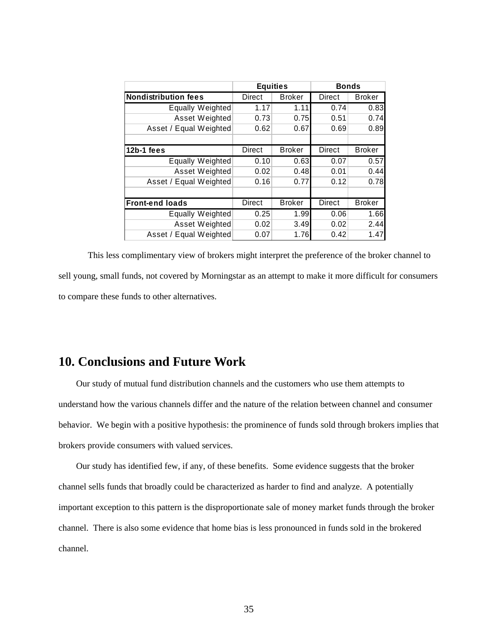|                             | <b>Equities</b> |               |               | <b>Bonds</b>  |  |
|-----------------------------|-----------------|---------------|---------------|---------------|--|
| <b>Nondistribution fees</b> | Direct          | <b>Broker</b> | Direct        | <b>Broker</b> |  |
| Equally Weighted            | 1.17            | 1.11          | 0.74          | 0.83          |  |
| Asset Weighted              | 0.73            | 0.75          | 0.51          | 0.74          |  |
| Asset / Equal Weighted      | 0.62            | 0.67          | 0.69          | 0.89          |  |
|                             |                 |               |               |               |  |
| 12b-1 fees                  | Direct          | <b>Broker</b> | Direct        | <b>Broker</b> |  |
| Equally Weighted            | 0.10            | 0.63          | 0.07          | 0.57          |  |
| Asset Weighted              | 0.02            | 0.48          | 0.01          | 0.44          |  |
| Asset / Equal Weighted      | 0.16            | 0.77          | 0.12          | 0.78          |  |
|                             |                 |               |               |               |  |
| <b>Front-end loads</b>      | Direct          | <b>Broker</b> | <b>Direct</b> | <b>Broker</b> |  |
| Equally Weighted            | 0.25            | 1.99          | 0.06          | 1.66          |  |
| Asset Weighted              | 0.02            | 3.49          | 0.02          | 2.44          |  |
| Asset / Equal Weighted      | 0.07            | 1.76          | 0.42          | 1.47          |  |

This less complimentary view of brokers might interpret the preference of the broker channel to sell young, small funds, not covered by Morningstar as an attempt to make it more difficult for consumers to compare these funds to other alternatives.

## **10. Conclusions and Future Work**

Our study of mutual fund distribution channels and the customers who use them attempts to understand how the various channels differ and the nature of the relation between channel and consumer behavior. We begin with a positive hypothesis: the prominence of funds sold through brokers implies that brokers provide consumers with valued services.

Our study has identified few, if any, of these benefits. Some evidence suggests that the broker channel sells funds that broadly could be characterized as harder to find and analyze. A potentially important exception to this pattern is the disproportionate sale of money market funds through the broker channel. There is also some evidence that home bias is less pronounced in funds sold in the brokered channel.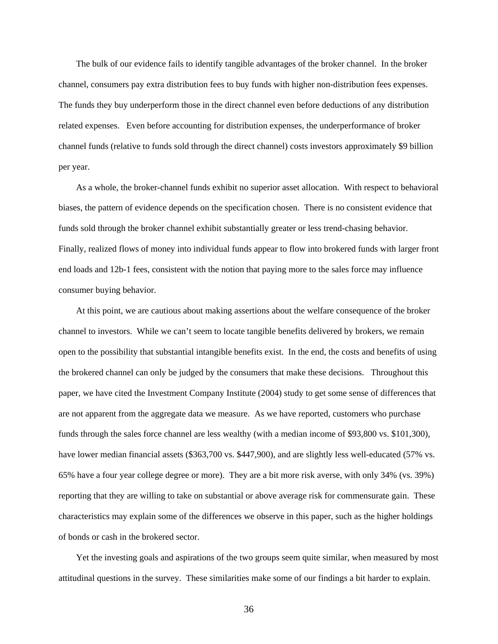The bulk of our evidence fails to identify tangible advantages of the broker channel. In the broker channel, consumers pay extra distribution fees to buy funds with higher non-distribution fees expenses. The funds they buy underperform those in the direct channel even before deductions of any distribution related expenses. Even before accounting for distribution expenses, the underperformance of broker channel funds (relative to funds sold through the direct channel) costs investors approximately \$9 billion per year.

As a whole, the broker-channel funds exhibit no superior asset allocation. With respect to behavioral biases, the pattern of evidence depends on the specification chosen. There is no consistent evidence that funds sold through the broker channel exhibit substantially greater or less trend-chasing behavior. Finally, realized flows of money into individual funds appear to flow into brokered funds with larger front end loads and 12b-1 fees, consistent with the notion that paying more to the sales force may influence consumer buying behavior.

At this point, we are cautious about making assertions about the welfare consequence of the broker channel to investors. While we can't seem to locate tangible benefits delivered by brokers, we remain open to the possibility that substantial intangible benefits exist. In the end, the costs and benefits of using the brokered channel can only be judged by the consumers that make these decisions. Throughout this paper, we have cited the Investment Company Institute (2004) study to get some sense of differences that are not apparent from the aggregate data we measure. As we have reported, customers who purchase funds through the sales force channel are less wealthy (with a median income of \$93,800 vs. \$101,300), have lower median financial assets (\$363,700 vs. \$447,900), and are slightly less well-educated (57% vs. 65% have a four year college degree or more). They are a bit more risk averse, with only 34% (vs. 39%) reporting that they are willing to take on substantial or above average risk for commensurate gain. These characteristics may explain some of the differences we observe in this paper, such as the higher holdings of bonds or cash in the brokered sector.

Yet the investing goals and aspirations of the two groups seem quite similar, when measured by most attitudinal questions in the survey. These similarities make some of our findings a bit harder to explain.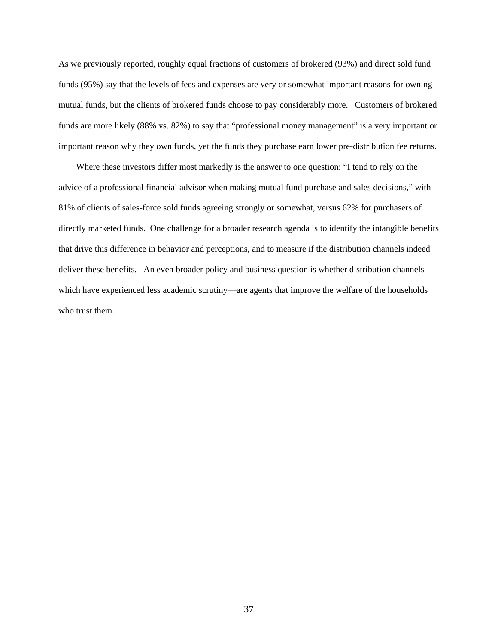As we previously reported, roughly equal fractions of customers of brokered (93%) and direct sold fund funds (95%) say that the levels of fees and expenses are very or somewhat important reasons for owning mutual funds, but the clients of brokered funds choose to pay considerably more. Customers of brokered funds are more likely (88% vs. 82%) to say that "professional money management" is a very important or important reason why they own funds, yet the funds they purchase earn lower pre-distribution fee returns.

Where these investors differ most markedly is the answer to one question: "I tend to rely on the advice of a professional financial advisor when making mutual fund purchase and sales decisions," with 81% of clients of sales-force sold funds agreeing strongly or somewhat, versus 62% for purchasers of directly marketed funds. One challenge for a broader research agenda is to identify the intangible benefits that drive this difference in behavior and perceptions, and to measure if the distribution channels indeed deliver these benefits. An even broader policy and business question is whether distribution channels which have experienced less academic scrutiny—are agents that improve the welfare of the households who trust them.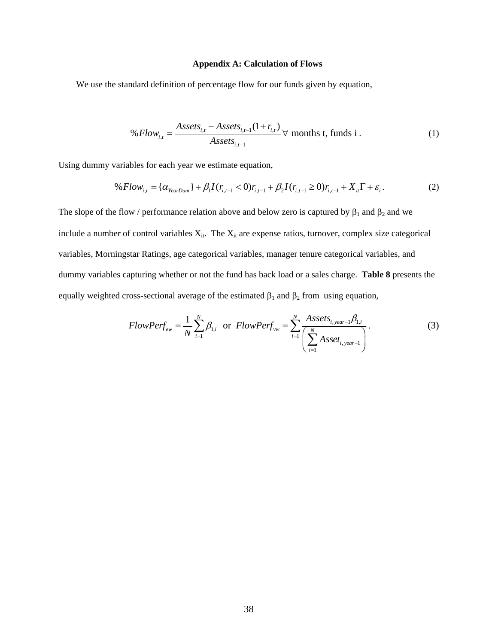## **Appendix A: Calculation of Flows**

We use the standard definition of percentage flow for our funds given by equation,

$$
\% Flow_{i,t} = \frac{Assets_{i,t} - Assets_{i,t-1}(1+r_{i,t})}{Assets_{i,t-1}} \,\forall \text{ months t, funds i.}
$$
 (1)

Using dummy variables for each year we estimate equation,

$$
\%Flow_{i,t} = {\alpha_{YearDum}} + \beta_1 I(r_{i,t-1} < 0)r_{i,t-1} + \beta_2 I(r_{i,t-1} \ge 0)r_{i,t-1} + X_{it}\Gamma + \varepsilon_i.
$$
\n(2)

The slope of the flow / performance relation above and below zero is captured by  $\beta_1$  and  $\beta_2$  and we include a number of control variables  $X_{it}$ . The  $X_{it}$  are expense ratios, turnover, complex size categorical variables, Morningstar Ratings, age categorical variables, manager tenure categorical variables, and dummy variables capturing whether or not the fund has back load or a sales charge. **Table 8** presents the equally weighted cross-sectional average of the estimated  $\beta_1$  and  $\beta_2$  from using equation,

$$
FlowPerf_{ew} = \frac{1}{N} \sum_{i=1}^{N} \beta_{1,i} \text{ or } FlowPerf_{vw} = \sum_{i=1}^{N} \frac{Assets_{i, year-1} \beta_{1,i}}{\left(\sum_{i=1}^{N} Asset_{i, year-1}\right)}.
$$
 (3)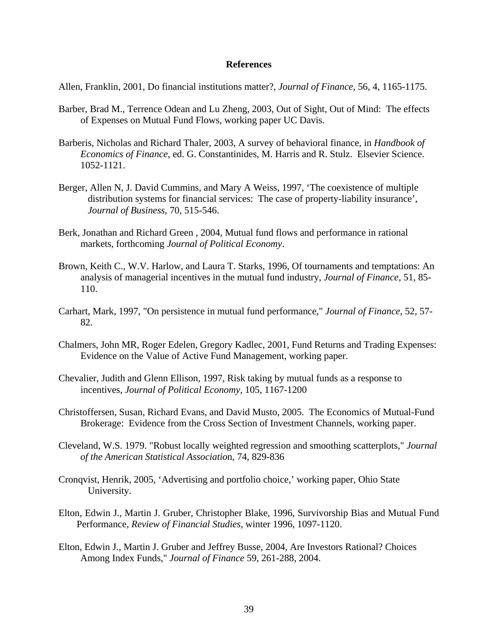## **References**

Allen, Franklin, 2001, Do financial institutions matter?, *Journal of Finance*, 56, 4, 1165-1175.

- Barber, Brad M., Terrence Odean and Lu Zheng, 2003, Out of Sight, Out of Mind: The effects of Expenses on Mutual Fund Flows, working paper UC Davis.
- Barberis, Nicholas and Richard Thaler, 2003, A survey of behavioral finance, in *Handbook of Economics of Finance*, ed. G. Constantinides, M. Harris and R. Stulz. Elsevier Science. 1052-1121.
- Berger, Allen N, J. David Cummins, and Mary A Weiss, 1997, 'The coexistence of multiple distribution systems for financial services: The case of property-liability insurance', *Journal of Business*, 70, 515-546.
- Berk, Jonathan and Richard Green , 2004, Mutual fund flows and performance in rational markets, forthcoming *Journal of Political Economy*.
- Brown, Keith C., W.V. Harlow, and Laura T. Starks, 1996, Of tournaments and temptations: An analysis of managerial incentives in the mutual fund industry, *Journal of Finance*, 51, 85- 110.
- Carhart, Mark, 1997, "On persistence in mutual fund performance," *Journal of Finance*, 52, 57- 82.
- Chalmers, John MR, Roger Edelen, Gregory Kadlec, 2001, Fund Returns and Trading Expenses: Evidence on the Value of Active Fund Management, working paper.
- Chevalier, Judith and Glenn Ellison, 1997, Risk taking by mutual funds as a response to incentives, *Journal of Political Economy,* 105, 1167-1200
- Christoffersen, Susan, Richard Evans, and David Musto, 2005. The Economics of Mutual-Fund Brokerage: Evidence from the Cross Section of Investment Channels, working paper.
- Cleveland, W.S. 1979. "Robust locally weighted regression and smoothing scatterplots," *Journal of the American Statistical Associatio*n, 74, 829-836
- Cronqvist, Henrik, 2005, 'Advertising and portfolio choice,' working paper, Ohio State University.
- Elton, Edwin J., Martin J. Gruber, Christopher Blake, 1996, Survivorship Bias and Mutual Fund Performance, *Review of Financial Studies*, winter 1996, 1097-1120.
- Elton, Edwin J., Martin J. Gruber and Jeffrey Busse, 2004, Are Investors Rational? Choices Among Index Funds," *Journal of Finance* 59, 261-288, 2004.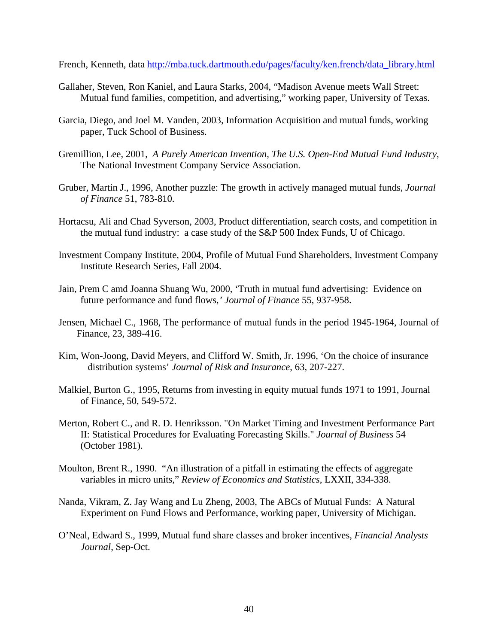French, Kenneth, data http://mba.tuck.dartmouth.edu/pages/faculty/ken.french/data\_library.html

- Gallaher, Steven, Ron Kaniel, and Laura Starks, 2004, "Madison Avenue meets Wall Street: Mutual fund families, competition, and advertising," working paper, University of Texas.
- Garcia, Diego, and Joel M. Vanden, 2003, Information Acquisition and mutual funds, working paper, Tuck School of Business.
- Gremillion, Lee, 2001, *A Purely American Invention, The U.S. Open-End Mutual Fund Industry*, The National Investment Company Service Association.
- Gruber, Martin J., 1996, Another puzzle: The growth in actively managed mutual funds, *Journal of Finance* 51, 783-810.
- Hortacsu, Ali and Chad Syverson, 2003, Product differentiation, search costs, and competition in the mutual fund industry: a case study of the S&P 500 Index Funds, U of Chicago.
- Investment Company Institute, 2004, Profile of Mutual Fund Shareholders, Investment Company Institute Research Series, Fall 2004.
- Jain, Prem C amd Joanna Shuang Wu, 2000, 'Truth in mutual fund advertising: Evidence on future performance and fund flows,*' Journal of Finance* 55, 937-958.
- Jensen, Michael C., 1968, The performance of mutual funds in the period 1945-1964, Journal of Finance, 23, 389-416.
- Kim, Won-Joong, David Meyers, and Clifford W. Smith, Jr. 1996, 'On the choice of insurance distribution systems' *Journal of Risk and Insurance*, 63, 207-227.
- Malkiel, Burton G., 1995, Returns from investing in equity mutual funds 1971 to 1991, Journal of Finance, 50, 549-572.
- Merton, Robert C., and R. D. Henriksson. "On Market Timing and Investment Performance Part II: Statistical Procedures for Evaluating Forecasting Skills." *Journal of Business* 54 (October 1981).
- Moulton, Brent R., 1990. "An illustration of a pitfall in estimating the effects of aggregate variables in micro units," *Review of Economics and Statistics*, LXXII, 334-338.
- Nanda, Vikram, Z. Jay Wang and Lu Zheng, 2003, The ABCs of Mutual Funds: A Natural Experiment on Fund Flows and Performance, working paper, University of Michigan.
- O'Neal, Edward S., 1999, Mutual fund share classes and broker incentives, *Financial Analysts Journal*, Sep-Oct.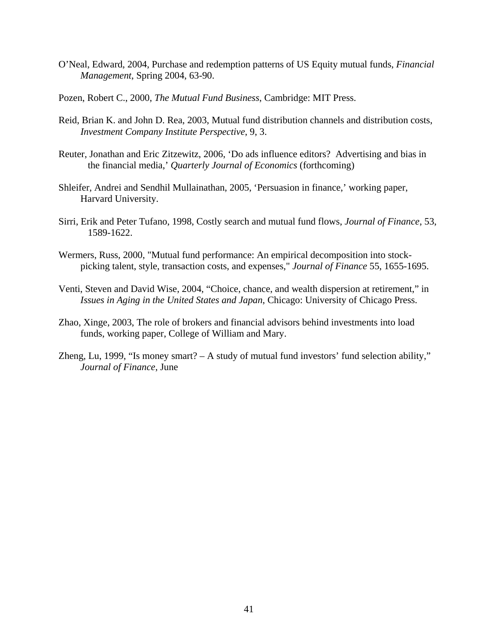- O'Neal, Edward, 2004, Purchase and redemption patterns of US Equity mutual funds, *Financial Management*, Spring 2004, 63-90.
- Pozen, Robert C., 2000, *The Mutual Fund Business*, Cambridge: MIT Press.
- Reid, Brian K. and John D. Rea, 2003, Mutual fund distribution channels and distribution costs, *Investment Company Institute Perspective*, 9, 3.
- Reuter, Jonathan and Eric Zitzewitz, 2006, 'Do ads influence editors? Advertising and bias in the financial media,' *Quarterly Journal of Economics* (forthcoming)
- Shleifer, Andrei and Sendhil Mullainathan, 2005, 'Persuasion in finance,' working paper, Harvard University.
- Sirri, Erik and Peter Tufano, 1998, Costly search and mutual fund flows, *Journal of Finance*, 53, 1589-1622.
- Wermers, Russ, 2000, "Mutual fund performance: An empirical decomposition into stockpicking talent, style, transaction costs, and expenses," *Journal of Finance* 55, 1655-1695.
- Venti, Steven and David Wise, 2004, "Choice, chance, and wealth dispersion at retirement," in *Issues in Aging in the United States and Japan*, Chicago: University of Chicago Press.
- Zhao, Xinge, 2003, The role of brokers and financial advisors behind investments into load funds, working paper, College of William and Mary.
- Zheng, Lu, 1999, "Is money smart? A study of mutual fund investors' fund selection ability," *Journal of Finance*, June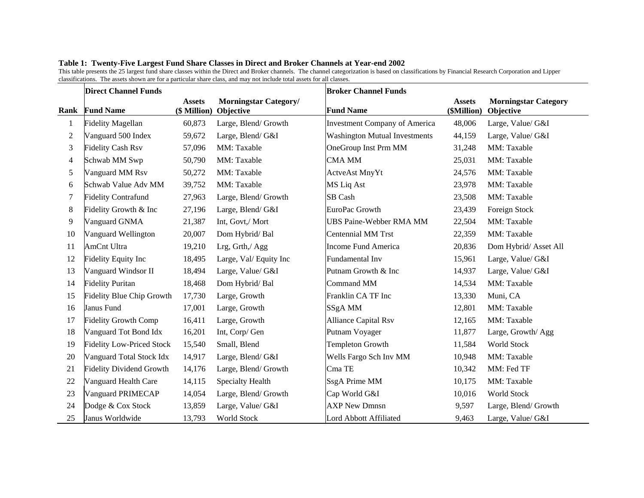|  |  |  | Table 1: Twenty-Five Largest Fund Share Classes in Direct and Broker Channels at Year-end 2002 |
|--|--|--|------------------------------------------------------------------------------------------------|
|  |  |  |                                                                                                |

This table presents the 25 largest fund share classes within the Direct and Broker channels. The channel categorization is based on classifications by Financial Research Corporation and Lipper classifications. The assets shown are for a particular share class, and may not include total assets for all classes.

|                | <b>Direct Channel Funds</b>      |                               |                                           | <b>Broker Channel Funds</b>          |                              |                                          |
|----------------|----------------------------------|-------------------------------|-------------------------------------------|--------------------------------------|------------------------------|------------------------------------------|
| Rank           | <b>Fund Name</b>                 | <b>Assets</b><br>(\$ Million) | <b>Morningstar Category/</b><br>Objective | <b>Fund Name</b>                     | <b>Assets</b><br>(\$Million) | <b>Morningstar Category</b><br>Objective |
| $\mathbf{1}$   | <b>Fidelity Magellan</b>         | 60,873                        | Large, Blend/ Growth                      | <b>Investment Company of America</b> | 48,006                       | Large, Value/ G&I                        |
| $\overline{c}$ | Vanguard 500 Index               | 59,672                        | Large, Blend/G&I                          | <b>Washington Mutual Investments</b> | 44,159                       | Large, Value/ G&I                        |
| 3              | <b>Fidelity Cash Rsv</b>         | 57,096                        | MM: Taxable                               | OneGroup Inst Prm MM                 | 31,248                       | MM: Taxable                              |
| 4              | Schwab MM Swp                    | 50,790                        | MM: Taxable                               | CMA MM                               | 25,031                       | MM: Taxable                              |
| 5              | Vanguard MM Rsv                  | 50,272                        | MM: Taxable                               | ActveAst MnyYt                       | 24,576                       | MM: Taxable                              |
| 6              | Schwab Value Adv MM              | 39,752                        | MM: Taxable                               | MS Liq Ast                           | 23,978                       | MM: Taxable                              |
| 7              | <b>Fidelity Contrafund</b>       | 27,963                        | Large, Blend/ Growth                      | SB Cash                              | 23,508                       | MM: Taxable                              |
| 8              | Fidelity Growth & Inc            | 27,196                        | Large, Blend/G&I                          | EuroPac Growth                       | 23,439                       | Foreign Stock                            |
| 9              | Vanguard GNMA                    | 21,387                        | Int, Govt,/ Mort                          | <b>UBS Paine-Webber RMA MM</b>       | 22,504                       | MM: Taxable                              |
| 10             | Vanguard Wellington              | 20,007                        | Dom Hybrid/Bal                            | <b>Centennial MM Trst</b>            | 22,359                       | MM: Taxable                              |
| 11             | <b>AmCnt Ultra</b>               | 19,210                        | Lrg, Grth,/ Agg                           | <b>Income Fund America</b>           | 20,836                       | Dom Hybrid/Asset All                     |
| 12             | <b>Fidelity Equity Inc</b>       | 18,495                        | Large, Val/ Equity Inc                    | Fundamental Inv                      | 15,961                       | Large, Value/ G&I                        |
| 13             | Vanguard Windsor II              | 18,494                        | Large, Value/ G&I                         | Putnam Growth & Inc                  | 14,937                       | Large, Value/ G&I                        |
| 14             | <b>Fidelity Puritan</b>          | 18,468                        | Dom Hybrid/Bal                            | Command MM                           | 14,534                       | MM: Taxable                              |
| 15             | <b>Fidelity Blue Chip Growth</b> | 17,730                        | Large, Growth                             | Franklin CA TF Inc                   | 13,330                       | Muni, CA                                 |
| 16             | Janus Fund                       | 17,001                        | Large, Growth                             | SSgA MM                              | 12,801                       | MM: Taxable                              |
| 17             | <b>Fidelity Growth Comp</b>      | 16,411                        | Large, Growth                             | <b>Alliance Capital Rsv</b>          | 12,165                       | MM: Taxable                              |
| 18             | Vanguard Tot Bond Idx            | 16,201                        | Int, Corp/ Gen                            | Putnam Voyager                       | 11,877                       | Large, Growth/Agg                        |
| 19             | <b>Fidelity Low-Priced Stock</b> | 15,540                        | Small, Blend                              | <b>Templeton Growth</b>              | 11,584                       | World Stock                              |
| 20             | Vanguard Total Stock Idx         | 14,917                        | Large, Blend/G&I                          | Wells Fargo Sch Inv MM               | 10,948                       | MM: Taxable                              |
| 21             | <b>Fidelity Dividend Growth</b>  | 14,176                        | Large, Blend/ Growth                      | Cma TE                               | 10,342                       | MM: Fed TF                               |
| 22             | Vanguard Health Care             | 14,115                        | Specialty Health                          | SsgA Prime MM                        | 10,175                       | MM: Taxable                              |
| 23             | Vanguard PRIMECAP                | 14,054                        | Large, Blend/ Growth                      | Cap World G&I                        | 10,016                       | World Stock                              |
| 24             | Dodge & Cox Stock                | 13,859                        | Large, Value/ G&I                         | <b>AXP New Dmnsn</b>                 | 9,597                        | Large, Blend/ Growth                     |
| 25             | Janus Worldwide                  | 13,793                        | World Stock                               | Lord Abbott Affiliated               | 9,463                        | Large, Value/ G&I                        |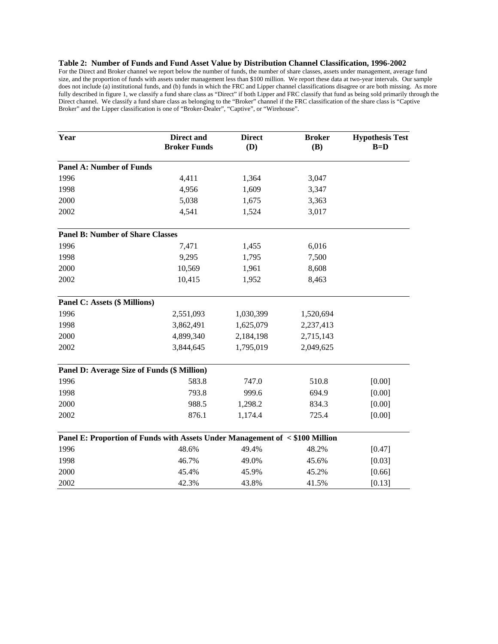### **Table 2: Number of Funds and Fund Asset Value by Distribution Channel Classification, 1996-2002**

For the Direct and Broker channel we report below the number of funds, the number of share classes, assets under management, average fund size, and the proportion of funds with assets under management less than \$100 million. We report these data at two-year intervals. Our sample does not include (a) institutional funds, and (b) funds in which the FRC and Lipper channel classifications disagree or are both missing. As more fully described in figure 1, we classify a fund share class as "Direct" if both Lipper and FRC classify that fund as being sold primarily through the Direct channel. We classify a fund share class as belonging to the "Broker" channel if the FRC classification of the share class is "Captive Broker" and the Lipper classification is one of "Broker-Dealer", "Captive", or "Wirehouse".

| Year                                                                         | <b>Direct and</b><br><b>Broker Funds</b> | <b>Direct</b><br>(D) | <b>Broker</b><br>(B) | <b>Hypothesis Test</b><br>$B=D$ |
|------------------------------------------------------------------------------|------------------------------------------|----------------------|----------------------|---------------------------------|
| <b>Panel A: Number of Funds</b>                                              |                                          |                      |                      |                                 |
| 1996                                                                         | 4,411                                    | 1,364                | 3,047                |                                 |
| 1998                                                                         | 4,956                                    | 1,609                | 3,347                |                                 |
| 2000                                                                         | 5,038                                    | 1,675                | 3,363                |                                 |
| 2002                                                                         | 4,541                                    | 1,524                | 3,017                |                                 |
| <b>Panel B: Number of Share Classes</b>                                      |                                          |                      |                      |                                 |
| 1996                                                                         | 7,471                                    | 1,455                | 6,016                |                                 |
| 1998                                                                         | 9,295                                    | 1,795                | 7,500                |                                 |
| 2000                                                                         | 10,569                                   | 1,961                | 8,608                |                                 |
| 2002                                                                         | 10,415                                   | 1,952                | 8,463                |                                 |
| Panel C: Assets (\$ Millions)                                                |                                          |                      |                      |                                 |
| 1996                                                                         | 2,551,093                                | 1,030,399            | 1,520,694            |                                 |
| 1998                                                                         | 3,862,491                                | 1,625,079            | 2,237,413            |                                 |
| 2000                                                                         | 4,899,340                                | 2,184,198            | 2,715,143            |                                 |
| 2002                                                                         | 3,844,645                                | 1,795,019            | 2,049,625            |                                 |
| Panel D: Average Size of Funds (\$ Million)                                  |                                          |                      |                      |                                 |
| 1996                                                                         | 583.8                                    | 747.0                | 510.8                | [0.00]                          |
| 1998                                                                         | 793.8                                    | 999.6                | 694.9                | [0.00]                          |
| 2000                                                                         | 988.5                                    | 1,298.2              | 834.3                | [0.00]                          |
| 2002                                                                         | 876.1                                    | 1,174.4              | 725.4                | [0.00]                          |
| Panel E: Proportion of Funds with Assets Under Management of < \$100 Million |                                          |                      |                      |                                 |
| 1996                                                                         | 48.6%                                    | 49.4%                | 48.2%                | [0.47]                          |
| 1998                                                                         | 46.7%                                    | 49.0%                | 45.6%                | [0.03]                          |
| 2000                                                                         | 45.4%                                    | 45.9%                | 45.2%                | [0.66]                          |
| 2002                                                                         | 42.3%                                    | 43.8%                | 41.5%                | [0.13]                          |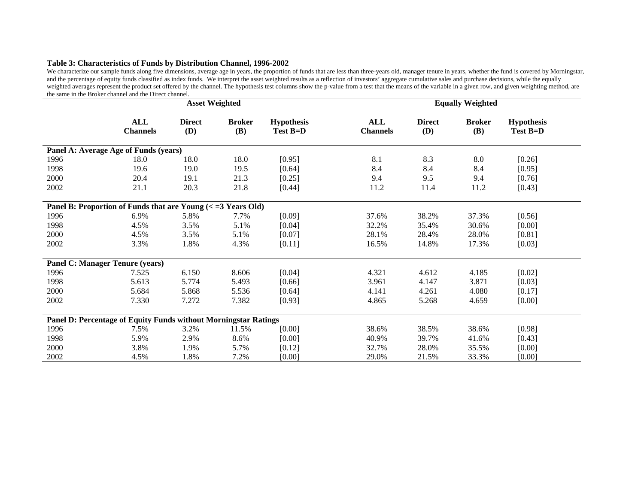### **Table 3: Characteristics of Funds by Distribution Channel, 1996-2002**

We characterize our sample funds along five dimensions, average age in years, the proportion of funds that are less than three-years old, manager tenure in years, whether the fund is covered by Morningstar, and the percentage of equity funds classified as index funds. We interpret the asset weighted results as a reflection of investors' aggregate cumulative sales and purchase decisions, while the equally weighted averages represent the product set offered by the channel. The hypothesis test columns show the p-value from a test that the means of the variable in a given row, and given weighting method, are the same in the Broker channel and the Direct channel.

|      | <b>Asset Weighted</b>                                                                   |                             |                             |                               |                        | <b>Equally Weighted</b>     |                             |                               |  |
|------|-----------------------------------------------------------------------------------------|-----------------------------|-----------------------------|-------------------------------|------------------------|-----------------------------|-----------------------------|-------------------------------|--|
|      | ALL<br><b>Channels</b>                                                                  | <b>Direct</b><br><b>(D)</b> | <b>Broker</b><br><b>(B)</b> | <b>Hypothesis</b><br>Test B=D | ALL<br><b>Channels</b> | <b>Direct</b><br><b>(D)</b> | <b>Broker</b><br><b>(B)</b> | <b>Hypothesis</b><br>Test B=D |  |
|      | Panel A: Average Age of Funds (years)                                                   |                             |                             |                               |                        |                             |                             |                               |  |
| 1996 | 18.0                                                                                    | 18.0                        | 18.0                        | [0.95]                        | 8.1                    | 8.3                         | 8.0                         | [0.26]                        |  |
| 1998 | 19.6                                                                                    | 19.0                        | 19.5                        | [0.64]                        | 8.4                    | 8.4                         | 8.4                         | [0.95]                        |  |
| 2000 | 20.4                                                                                    | 19.1                        | 21.3                        | $[0.25]$                      | 9.4                    | 9.5                         | 9.4                         | [0.76]                        |  |
| 2002 | 21.1                                                                                    | 20.3                        | 21.8                        | [0.44]                        | 11.2                   | 11.4                        | 11.2                        | [0.43]                        |  |
|      | Panel B: Proportion of Funds that are Young $\left\langle \right\rangle = 3$ Years Old) |                             |                             |                               |                        |                             |                             |                               |  |
| 1996 | 6.9%                                                                                    | 5.8%                        | 7.7%                        | [0.09]                        | 37.6%                  | 38.2%                       | 37.3%                       | [0.56]                        |  |
| 1998 | 4.5%                                                                                    | 3.5%                        | 5.1%                        | [0.04]                        | 32.2%                  | 35.4%                       | 30.6%                       | [0.00]                        |  |
| 2000 | 4.5%                                                                                    | 3.5%                        | 5.1%                        | $[0.07]$                      | 28.1%                  | 28.4%                       | 28.0%                       | [0.81]                        |  |
| 2002 | 3.3%                                                                                    | 1.8%                        | 4.3%                        | $[0.11]$                      | 16.5%                  | 14.8%                       | 17.3%                       | [0.03]                        |  |
|      | <b>Panel C: Manager Tenure (years)</b>                                                  |                             |                             |                               |                        |                             |                             |                               |  |
| 1996 | 7.525                                                                                   | 6.150                       | 8.606                       | [0.04]                        | 4.321                  | 4.612                       | 4.185                       | $[0.02]$                      |  |
| 1998 | 5.613                                                                                   | 5.774                       | 5.493                       | [0.66]                        | 3.961                  | 4.147                       | 3.871                       | [0.03]                        |  |
| 2000 | 5.684                                                                                   | 5.868                       | 5.536                       | [0.64]                        | 4.141                  | 4.261                       | 4.080                       | [0.17]                        |  |
| 2002 | 7.330                                                                                   | 7.272                       | 7.382                       | [0.93]                        | 4.865                  | 5.268                       | 4.659                       | [0.00]                        |  |
|      | Panel D: Percentage of Equity Funds without Morningstar Ratings                         |                             |                             |                               |                        |                             |                             |                               |  |
| 1996 | 7.5%                                                                                    | 3.2%                        | 11.5%                       | [0.00]                        | 38.6%                  | 38.5%                       | 38.6%                       | [0.98]                        |  |
| 1998 | 5.9%                                                                                    | 2.9%                        | 8.6%                        | [0.00]                        | 40.9%                  | 39.7%                       | 41.6%                       | [0.43]                        |  |
| 2000 | 3.8%                                                                                    | 1.9%                        | 5.7%                        | $[0.12]$                      | 32.7%                  | 28.0%                       | 35.5%                       | [0.00]                        |  |
| 2002 | 4.5%                                                                                    | 1.8%                        | 7.2%                        | [0.00]                        | 29.0%                  | 21.5%                       | 33.3%                       | [0.00]                        |  |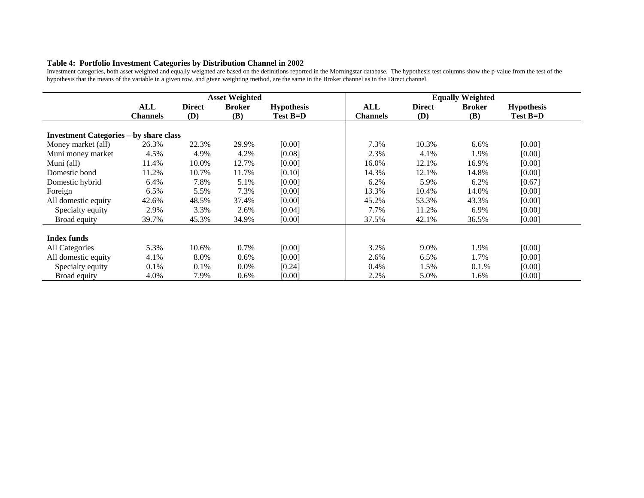### **Table 4: Portfolio Investment Categories by Distribution Channel in 2002**

Investment categories, both asset weighted and equally weighted are based on the definitions reported in the Morningstar database. The hypothesis test columns show the p-value from the test of the hypothesis that the means of the variable in a given row, and given weighting method, are the same in the Broker channel as in the Direct channel.

|                                               | <b>Asset Weighted</b> |               |               |                   |                 | <b>Equally Weighted</b> |               |                   |  |
|-----------------------------------------------|-----------------------|---------------|---------------|-------------------|-----------------|-------------------------|---------------|-------------------|--|
|                                               | ALL                   | <b>Direct</b> | <b>Broker</b> | <b>Hypothesis</b> | ALL             | <b>Direct</b>           | <b>Broker</b> | <b>Hypothesis</b> |  |
|                                               | <b>Channels</b>       | (D)           | (B)           | Test B=D          | <b>Channels</b> | (D)                     | <b>(B)</b>    | Test B=D          |  |
| <b>Investment Categories – by share class</b> |                       |               |               |                   |                 |                         |               |                   |  |
| Money market (all)                            | 26.3%                 | 22.3%         | 29.9%         | [0.00]            | 7.3%            | 10.3%                   | 6.6%          | [0.00]            |  |
| Muni money market                             | 4.5%                  | 4.9%          | 4.2%          | [0.08]            | 2.3%            | 4.1%                    | 1.9%          | [0.00]            |  |
| Muni (all)                                    | 11.4%                 | 10.0%         | 12.7%         | [0.00]            | 16.0%           | 12.1%                   | 16.9%         | [0.00]            |  |
| Domestic bond                                 | 11.2%                 | 10.7%         | 11.7%         | [0.10]            | 14.3%           | 12.1%                   | 14.8%         | [0.00]            |  |
| Domestic hybrid                               | 6.4%                  | 7.8%          | 5.1%          | [0.00]            | 6.2%            | 5.9%                    | 6.2%          | [0.67]            |  |
| Foreign                                       | 6.5%                  | 5.5%          | 7.3%          | [0.00]            | 13.3%           | 10.4%                   | 14.0%         | [0.00]            |  |
| All domestic equity                           | 42.6%                 | 48.5%         | 37.4%         | [0.00]            | 45.2%           | 53.3%                   | 43.3%         | [0.00]            |  |
| Specialty equity                              | 2.9%                  | 3.3%          | 2.6%          | [0.04]            | 7.7%            | 11.2%                   | 6.9%          | [0.00]            |  |
| Broad equity                                  | 39.7%                 | 45.3%         | 34.9%         | [0.00]            | 37.5%           | 42.1%                   | 36.5%         | [0.00]            |  |
| <b>Index funds</b>                            |                       |               |               |                   |                 |                         |               |                   |  |
| All Categories                                | 5.3%                  | 10.6%         | 0.7%          | [0.00]            | 3.2%            | 9.0%                    | 1.9%          | [0.00]            |  |
| All domestic equity                           | 4.1%                  | 8.0%          | 0.6%          | [0.00]            | 2.6%            | 6.5%                    | 1.7%          | [0.00]            |  |
| Specialty equity                              | 0.1%                  | 0.1%          | $0.0\%$       | [0.24]            | 0.4%            | 1.5%                    | 0.1.%         | [0.00]            |  |
| Broad equity                                  | 4.0%                  | 7.9%          | 0.6%          | [0.00]            | 2.2%            | 5.0%                    | 1.6%          | [0.00]            |  |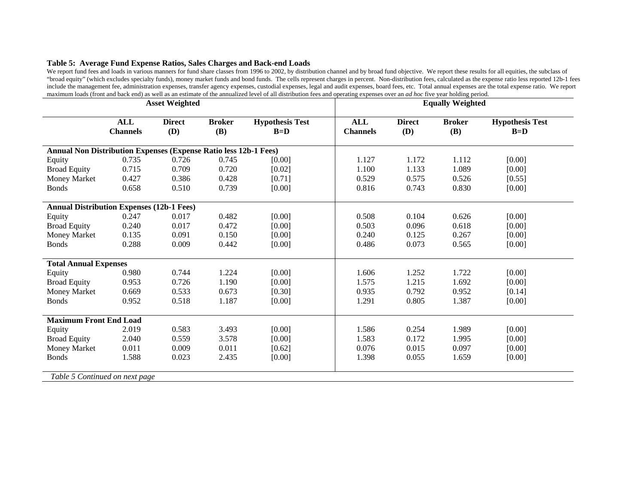### **Table 5: Average Fund Expense Ratios, Sales Charges and Back-end Loads**

We report fund fees and loads in various manners for fund share classes from 1996 to 2002, by distribution channel and by broad fund objective. We report these results for all equities, the subclass of "broad equity" (which excludes specialty funds), money market funds and bond funds. The cells represent charges in percent. Non-distribution fees, calculated as the expense ratio less reported 12b-1 fees include the management fee, administration expenses, transfer agency expenses, custodial expenses, legal and audit expenses, board fees, etc. Total annual expenses are the total expense ratio. We report maximum loads (front and back end) as well as an estimate of the annualized level of all distribution fees and operating expenses over an *ad hoc* five year holding period.

|                                                                  | <b>Asset Weighted</b>         |                      |                             | <b>Equally Weighted</b>         |                               |                             |                      |                                 |
|------------------------------------------------------------------|-------------------------------|----------------------|-----------------------------|---------------------------------|-------------------------------|-----------------------------|----------------------|---------------------------------|
|                                                                  | <b>ALL</b><br><b>Channels</b> | <b>Direct</b><br>(D) | <b>Broker</b><br><b>(B)</b> | <b>Hypothesis Test</b><br>$B=D$ | <b>ALL</b><br><b>Channels</b> | <b>Direct</b><br><b>(D)</b> | <b>Broker</b><br>(B) | <b>Hypothesis Test</b><br>$B=D$ |
| Annual Non Distribution Expenses (Expense Ratio less 12b-1 Fees) |                               |                      |                             |                                 |                               |                             |                      |                                 |
| Equity                                                           | 0.735                         | 0.726                | 0.745                       | [0.00]                          | 1.127                         | 1.172                       | 1.112                | [0.00]                          |
| <b>Broad Equity</b>                                              | 0.715                         | 0.709                | 0.720                       | [0.02]                          | 1.100                         | 1.133                       | 1.089                | [0.00]                          |
| Money Market                                                     | 0.427                         | 0.386                | 0.428                       | [0.71]                          | 0.529                         | 0.575                       | 0.526                | [0.55]                          |
| <b>Bonds</b>                                                     | 0.658                         | 0.510                | 0.739                       | [0.00]                          | 0.816                         | 0.743                       | 0.830                | [0.00]                          |
| <b>Annual Distribution Expenses (12b-1 Fees)</b>                 |                               |                      |                             |                                 |                               |                             |                      |                                 |
| Equity                                                           | 0.247                         | 0.017                | 0.482                       | [0.00]                          | 0.508                         | 0.104                       | 0.626                | [0.00]                          |
| <b>Broad Equity</b>                                              | 0.240                         | 0.017                | 0.472                       | [0.00]                          | 0.503                         | 0.096                       | 0.618                | [0.00]                          |
| Money Market                                                     | 0.135                         | 0.091                | 0.150                       | [0.00]                          | 0.240                         | 0.125                       | 0.267                | [0.00]                          |
| <b>Bonds</b>                                                     | 0.288                         | 0.009                | 0.442                       | [0.00]                          | 0.486                         | 0.073                       | 0.565                | [0.00]                          |
| <b>Total Annual Expenses</b>                                     |                               |                      |                             |                                 |                               |                             |                      |                                 |
| Equity                                                           | 0.980                         | 0.744                | 1.224                       | [0.00]                          | 1.606                         | 1.252                       | 1.722                | [0.00]                          |
| <b>Broad Equity</b>                                              | 0.953                         | 0.726                | 1.190                       | [0.00]                          | 1.575                         | 1.215                       | 1.692                | [0.00]                          |
| Money Market                                                     | 0.669                         | 0.533                | 0.673                       | [0.30]                          | 0.935                         | 0.792                       | 0.952                | [0.14]                          |
| <b>Bonds</b>                                                     | 0.952                         | 0.518                | 1.187                       | [0.00]                          | 1.291                         | 0.805                       | 1.387                | [0.00]                          |
| <b>Maximum Front End Load</b>                                    |                               |                      |                             |                                 |                               |                             |                      |                                 |
| Equity                                                           | 2.019                         | 0.583                | 3.493                       | [0.00]                          | 1.586                         | 0.254                       | 1.989                | [0.00]                          |
| <b>Broad Equity</b>                                              | 2.040                         | 0.559                | 3.578                       | [0.00]                          | 1.583                         | 0.172                       | 1.995                | $[0.00]$                        |
| Money Market                                                     | 0.011                         | 0.009                | 0.011                       | [0.62]                          | 0.076                         | 0.015                       | 0.097                | [0.00]                          |
| <b>Bonds</b>                                                     | 1.588                         | 0.023                | 2.435                       | [0.00]                          | 1.398                         | 0.055                       | 1.659                | [0.00]                          |
| Table 5 Continued on next page                                   |                               |                      |                             |                                 |                               |                             |                      |                                 |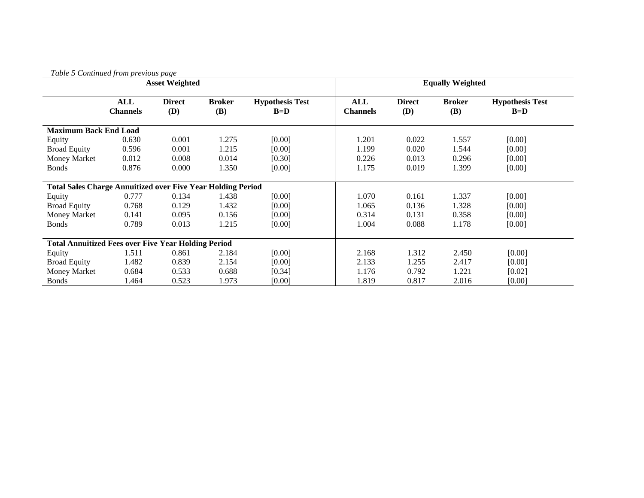| Table 5 Continued from previous page                               |                        |                      |                      |                                 |                               |                             |                             |                                 |
|--------------------------------------------------------------------|------------------------|----------------------|----------------------|---------------------------------|-------------------------------|-----------------------------|-----------------------------|---------------------------------|
|                                                                    | <b>Asset Weighted</b>  |                      |                      | <b>Equally Weighted</b>         |                               |                             |                             |                                 |
|                                                                    | ALL<br><b>Channels</b> | <b>Direct</b><br>(D) | <b>Broker</b><br>(B) | <b>Hypothesis Test</b><br>$B=D$ | <b>ALL</b><br><b>Channels</b> | <b>Direct</b><br><b>(D)</b> | <b>Broker</b><br><b>(B)</b> | <b>Hypothesis Test</b><br>$B=D$ |
| <b>Maximum Back End Load</b>                                       |                        |                      |                      |                                 |                               |                             |                             |                                 |
| Equity                                                             | 0.630                  | 0.001                | 1.275                | [0.00]                          | 1.201                         | 0.022                       | 1.557                       | [0.00]                          |
| <b>Broad Equity</b>                                                | 0.596                  | 0.001                | 1.215                | [0.00]                          | 1.199                         | 0.020                       | 1.544                       | [0.00]                          |
| <b>Money Market</b>                                                | 0.012                  | 0.008                | 0.014                | [0.30]                          | 0.226                         | 0.013                       | 0.296                       | [0.00]                          |
| <b>Bonds</b>                                                       | 0.876                  | 0.000                | 1.350                | [0.00]                          | 1.175                         | 0.019                       | 1.399                       | [0.00]                          |
|                                                                    |                        |                      |                      |                                 |                               |                             |                             |                                 |
| <b>Total Sales Charge Annuitized over Five Year Holding Period</b> |                        |                      |                      |                                 |                               |                             |                             |                                 |
| Equity                                                             | 0.777                  | 0.134                | 1.438                | [0.00]                          | 1.070                         | 0.161                       | 1.337                       | [0.00]                          |
| <b>Broad Equity</b>                                                | 0.768                  | 0.129                | 1.432                | [0.00]                          | 1.065                         | 0.136                       | 1.328                       | [0.00]                          |
| <b>Money Market</b>                                                | 0.141                  | 0.095                | 0.156                | [0.00]                          | 0.314                         | 0.131                       | 0.358                       | [0.00]                          |
| <b>Bonds</b>                                                       | 0.789                  | 0.013                | 1.215                | [0.00]                          | 1.004                         | 0.088                       | 1.178                       | [0.00]                          |
|                                                                    |                        |                      |                      |                                 |                               |                             |                             |                                 |
| <b>Total Annuitized Fees over Five Year Holding Period</b>         |                        |                      |                      |                                 |                               |                             |                             |                                 |
| Equity                                                             | 1.511                  | 0.861                | 2.184                | [0.00]                          | 2.168                         | 1.312                       | 2.450                       | [0.00]                          |
| <b>Broad Equity</b>                                                | 1.482                  | 0.839                | 2.154                | [0.00]                          | 2.133                         | 1.255                       | 2.417                       | [0.00]                          |
| Money Market                                                       | 0.684                  | 0.533                | 0.688                | [0.34]                          | 1.176                         | 0.792                       | 1.221                       | [0.02]                          |
| <b>Bonds</b>                                                       | 1.464                  | 0.523                | 1.973                | [0.00]                          | 1.819                         | 0.817                       | 2.016                       | [0.00]                          |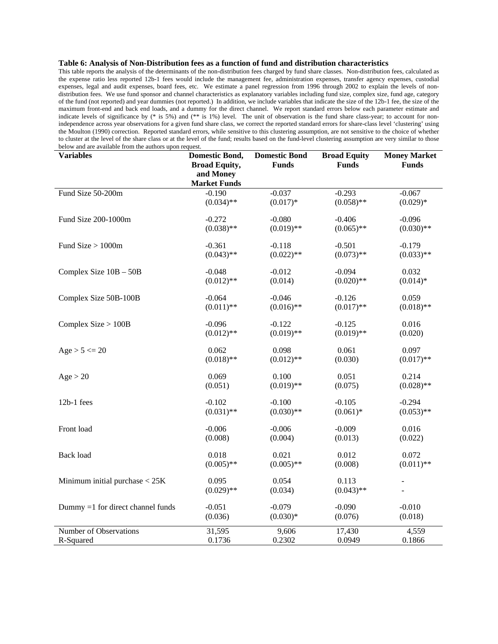#### **Table 6: Analysis of Non-Distribution fees as a function of fund and distribution characteristics**

This table reports the analysis of the determinants of the non-distribution fees charged by fund share classes. Non-distribution fees, calculated as the expense ratio less reported 12b-1 fees would include the management fee, administration expenses, transfer agency expenses, custodial expenses, legal and audit expenses, board fees, etc. We estimate a panel regression from 1996 through 2002 to explain the levels of nondistribution fees. We use fund sponsor and channel characteristics as explanatory variables including fund size, complex size, fund age, category of the fund (not reported) and year dummies (not reported.) In addition, we include variables that indicate the size of the 12b-1 fee, the size of the maximum front-end and back end loads, and a dummy for the direct channel. We report standard errors below each parameter estimate and indicate levels of significance by (\* is 5%) and (\*\* is 1%) level. The unit of observation is the fund share class-year; to account for nonindependence across year observations for a given fund share class, we correct the reported standard errors for share-class level 'clustering' using the Moulton (1990) correction. Reported standard errors, while sensitive to this clustering assumption, are not sensitive to the choice of whether to cluster at the level of the share class or at the level of the fund; results based on the fund-level clustering assumption are very similar to those below and are available from the authors upon request.

| <b>Variables</b>                  | <b>Domestic Bond,</b><br><b>Broad Equity,</b> | <b>Domestic Bond</b><br><b>Funds</b> | <b>Broad Equity</b><br><b>Funds</b> | <b>Money Market</b><br><b>Funds</b> |
|-----------------------------------|-----------------------------------------------|--------------------------------------|-------------------------------------|-------------------------------------|
|                                   | and Money<br><b>Market Funds</b>              |                                      |                                     |                                     |
| Fund Size 50-200m                 | $-0.190$                                      | $-0.037$                             | $-0.293$                            | $-0.067$                            |
|                                   | $(0.034)$ **                                  | $(0.017)*$                           | $(0.058)$ **                        | $(0.029)*$                          |
| Fund Size 200-1000m               | $-0.272$                                      | $-0.080$                             | $-0.406$                            | $-0.096$                            |
|                                   | $(0.038)$ **                                  | $(0.019)$ **                         | $(0.065)$ **                        | $(0.030)$ **                        |
| Fund Size $> 1000$ m              | $-0.361$                                      | $-0.118$                             | $-0.501$                            | $-0.179$                            |
|                                   | $(0.043)$ **                                  | $(0.022)$ **                         | $(0.073)$ **                        | $(0.033)$ **                        |
| Complex Size 10B - 50B            | $-0.048$                                      | $-0.012$                             | $-0.094$                            | 0.032                               |
|                                   | $(0.012)$ **                                  | (0.014)                              | $(0.020)$ **                        | $(0.014)*$                          |
| Complex Size 50B-100B             | $-0.064$                                      | $-0.046$                             | $-0.126$                            | 0.059                               |
|                                   | $(0.011)$ **                                  | $(0.016)$ **                         | $(0.017)$ **                        | $(0.018)$ **                        |
| Complex $Size > 100B$             | $-0.096$                                      | $-0.122$                             | $-0.125$                            | 0.016                               |
|                                   | $(0.012)$ **                                  | $(0.019)$ **                         | $(0.019)$ **                        | (0.020)                             |
| $Age > 5 \le 20$                  | 0.062                                         | 0.098                                | 0.061                               | 0.097                               |
|                                   | $(0.018)$ **                                  | $(0.012)$ **                         | (0.030)                             | $(0.017)$ **                        |
| Age > 20                          | 0.069                                         | 0.100                                | 0.051                               | 0.214                               |
|                                   | (0.051)                                       | $(0.019)$ **                         | (0.075)                             | $(0.028)$ **                        |
| 12b-1 fees                        | $-0.102$                                      | $-0.100$                             | $-0.105$                            | $-0.294$                            |
|                                   | $(0.031)$ **                                  | $(0.030)$ **                         | $(0.061)*$                          | $(0.053)$ **                        |
| Front load                        | $-0.006$                                      | $-0.006$                             | $-0.009$                            | 0.016                               |
|                                   | (0.008)                                       | (0.004)                              | (0.013)                             | (0.022)                             |
| Back load                         | 0.018                                         | 0.021                                | 0.012                               | 0.072                               |
|                                   | $(0.005)$ **                                  | $(0.005)$ **                         | (0.008)                             | $(0.011)$ **                        |
| Minimum initial purchase $<$ 25K  | 0.095                                         | 0.054                                | 0.113                               |                                     |
|                                   | $(0.029)$ **                                  | (0.034)                              | $(0.043)$ **                        |                                     |
| Dummy =1 for direct channel funds | $-0.051$                                      | $-0.079$                             | $-0.090$                            | $-0.010$                            |
|                                   | (0.036)                                       | $(0.030)*$                           | (0.076)                             | (0.018)                             |
| Number of Observations            | 31,595                                        | 9,606                                | 17,430                              | 4,559                               |
| R-Squared                         | 0.1736                                        | 0.2302                               | 0.0949                              | 0.1866                              |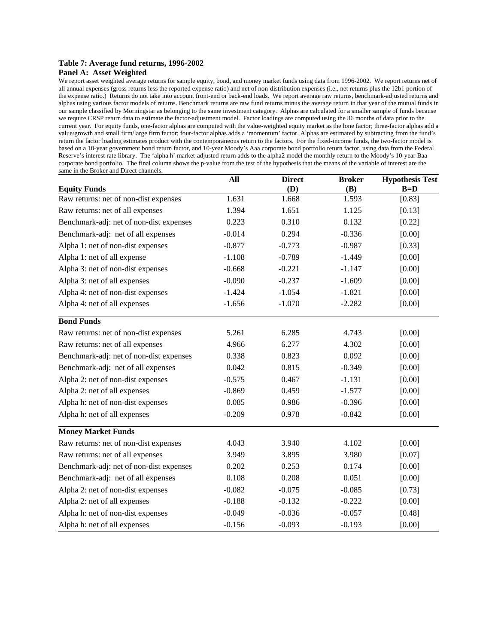#### **Table 7: Average fund returns, 1996-2002**

#### **Panel A: Asset Weighted**

We report asset weighted average returns for sample equity, bond, and money market funds using data from 1996-2002. We report returns net of all annual expenses (gross returns less the reported expense ratio) and net of non-distribution expenses (i.e., net returns plus the 12b1 portion of the expense ratio.) Returns do not take into account front-end or back-end loads. We report average raw returns, benchmark-adjusted returns and alphas using various factor models of returns. Benchmark returns are raw fund returns minus the average return in that year of the mutual funds in our sample classified by Morningstar as belonging to the same investment category. Alphas are calculated for a smaller sample of funds because we require CRSP return data to estimate the factor-adjustment model. Factor loadings are computed using the 36 months of data prior to the current year. For equity funds, one-factor alphas are computed with the value-weighted equity market as the lone factor; three-factor alphas add a value/growth and small firm/large firm factor; four-factor alphas adds a 'momentum' factor. Alphas are estimated by subtracting from the fund's return the factor loading estimates product with the contemporaneous return to the factors. For the fixed-income funds, the two-factor model is based on a 10-year government bond return factor, and 10-year Moody's Aaa corporate bond portfolio return factor, using data from the Federal Reserve's interest rate library. The 'alpha h' market-adjusted return adds to the alpha2 model the monthly return to the Moody's 10-year Baa corporate bond portfolio. The final column shows the p-value from the test of the hypothesis that the means of the variable of interest are the same in the Broker and Direct channels.

|                                         | All      | <b>Direct</b> | <b>Broker</b> | <b>Hypothesis Test</b> |
|-----------------------------------------|----------|---------------|---------------|------------------------|
| <b>Equity Funds</b>                     |          | (D)           | (B)           | $B=D$                  |
| Raw returns: net of non-dist expenses   | 1.631    | 1.668         | 1.593         | [0.83]                 |
| Raw returns: net of all expenses        | 1.394    | 1.651         | 1.125         | [0.13]                 |
| Benchmark-adj: net of non-dist expenses | 0.223    | 0.310         | 0.132         | [0.22]                 |
| Benchmark-adj: net of all expenses      | $-0.014$ | 0.294         | $-0.336$      | [0.00]                 |
| Alpha 1: net of non-dist expenses       | $-0.877$ | $-0.773$      | $-0.987$      | [0.33]                 |
| Alpha 1: net of all expense             | $-1.108$ | $-0.789$      | $-1.449$      | [0.00]                 |
| Alpha 3: net of non-dist expenses       | $-0.668$ | $-0.221$      | $-1.147$      | [0.00]                 |
| Alpha 3: net of all expenses            | $-0.090$ | $-0.237$      | $-1.609$      | [0.00]                 |
| Alpha 4: net of non-dist expenses       | $-1.424$ | $-1.054$      | $-1.821$      | [0.00]                 |
| Alpha 4: net of all expenses            | $-1.656$ | $-1.070$      | $-2.282$      | [0.00]                 |
| <b>Bond Funds</b>                       |          |               |               |                        |
| Raw returns: net of non-dist expenses   | 5.261    | 6.285         | 4.743         | [0.00]                 |
| Raw returns: net of all expenses        | 4.966    | 6.277         | 4.302         | [0.00]                 |
| Benchmark-adj: net of non-dist expenses | 0.338    | 0.823         | 0.092         | [0.00]                 |
| Benchmark-adj: net of all expenses      | 0.042    | 0.815         | $-0.349$      | [0.00]                 |
| Alpha 2: net of non-dist expenses       | $-0.575$ | 0.467         | $-1.131$      | [0.00]                 |
| Alpha 2: net of all expenses            | $-0.869$ | 0.459         | $-1.577$      | [0.00]                 |
| Alpha h: net of non-dist expenses       | 0.085    | 0.986         | $-0.396$      | [0.00]                 |
| Alpha h: net of all expenses            | $-0.209$ | 0.978         | $-0.842$      | [0.00]                 |
| <b>Money Market Funds</b>               |          |               |               |                        |
| Raw returns: net of non-dist expenses   | 4.043    | 3.940         | 4.102         | [0.00]                 |
| Raw returns: net of all expenses        | 3.949    | 3.895         | 3.980         | [0.07]                 |
| Benchmark-adj: net of non-dist expenses | 0.202    | 0.253         | 0.174         | [0.00]                 |
| Benchmark-adj: net of all expenses      | 0.108    | 0.208         | 0.051         | [0.00]                 |
| Alpha 2: net of non-dist expenses       | $-0.082$ | $-0.075$      | $-0.085$      | [0.73]                 |
| Alpha 2: net of all expenses            | $-0.188$ | $-0.132$      | $-0.222$      | [0.00]                 |
| Alpha h: net of non-dist expenses       | $-0.049$ | $-0.036$      | $-0.057$      | [0.48]                 |
| Alpha h: net of all expenses            | $-0.156$ | $-0.093$      | $-0.193$      | [0.00]                 |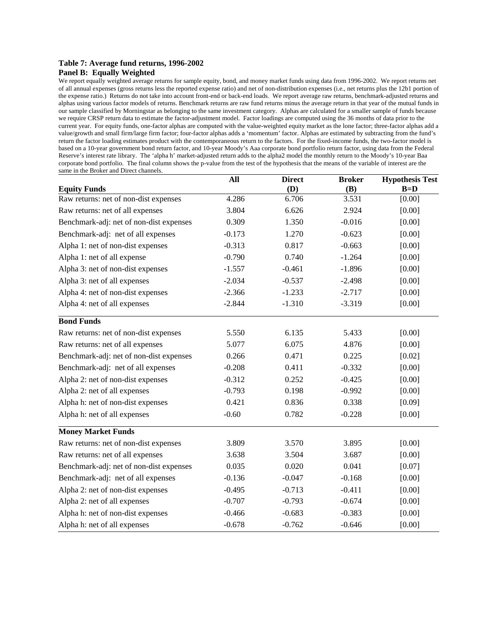## **Table 7: Average fund returns, 1996-2002**

### **Panel B: Equally Weighted**

We report equally weighted average returns for sample equity, bond, and money market funds using data from 1996-2002. We report returns net of all annual expenses (gross returns less the reported expense ratio) and net of non-distribution expenses (i.e., net returns plus the 12b1 portion of the expense ratio.) Returns do not take into account front-end or back-end loads. We report average raw returns, benchmark-adjusted returns and alphas using various factor models of returns. Benchmark returns are raw fund returns minus the average return in that year of the mutual funds in our sample classified by Morningstar as belonging to the same investment category. Alphas are calculated for a smaller sample of funds because we require CRSP return data to estimate the factor-adjustment model. Factor loadings are computed using the 36 months of data prior to the current year. For equity funds, one-factor alphas are computed with the value-weighted equity market as the lone factor; three-factor alphas add a value/growth and small firm/large firm factor; four-factor alphas adds a 'momentum' factor. Alphas are estimated by subtracting from the fund's return the factor loading estimates product with the contemporaneous return to the factors. For the fixed-income funds, the two-factor model is based on a 10-year government bond return factor, and 10-year Moody's Aaa corporate bond portfolio return factor, using data from the Federal Reserve's interest rate library. The 'alpha h' market-adjusted return adds to the alpha2 model the monthly return to the Moody's 10-year Baa corporate bond portfolio. The final column shows the p-value from the test of the hypothesis that the means of the variable of interest are the same in the Broker and Direct channels.

|                                         | All      | <b>Direct</b> | <b>Broker</b> | <b>Hypothesis Test</b> |
|-----------------------------------------|----------|---------------|---------------|------------------------|
| <b>Equity Funds</b>                     |          | (D)           | (B)           | $B=D$                  |
| Raw returns: net of non-dist expenses   | 4.286    | 6.706         | 3.531         | [0.00]                 |
| Raw returns: net of all expenses        | 3.804    | 6.626         | 2.924         | [0.00]                 |
| Benchmark-adj: net of non-dist expenses | 0.309    | 1.350         | $-0.016$      | [0.00]                 |
| Benchmark-adj: net of all expenses      | $-0.173$ | 1.270         | $-0.623$      | [0.00]                 |
| Alpha 1: net of non-dist expenses       | $-0.313$ | 0.817         | $-0.663$      | [0.00]                 |
| Alpha 1: net of all expense             | $-0.790$ | 0.740         | $-1.264$      | [0.00]                 |
| Alpha 3: net of non-dist expenses       | $-1.557$ | $-0.461$      | $-1.896$      | [0.00]                 |
| Alpha 3: net of all expenses            | $-2.034$ | $-0.537$      | $-2.498$      | [0.00]                 |
| Alpha 4: net of non-dist expenses       | $-2.366$ | $-1.233$      | $-2.717$      | [0.00]                 |
| Alpha 4: net of all expenses            | $-2.844$ | $-1.310$      | $-3.319$      | [0.00]                 |
| <b>Bond Funds</b>                       |          |               |               |                        |
| Raw returns: net of non-dist expenses   | 5.550    | 6.135         | 5.433         | [0.00]                 |
| Raw returns: net of all expenses        | 5.077    | 6.075         | 4.876         | [0.00]                 |
| Benchmark-adj: net of non-dist expenses | 0.266    | 0.471         | 0.225         | [0.02]                 |
| Benchmark-adj: net of all expenses      | $-0.208$ | 0.411         | $-0.332$      | [0.00]                 |
| Alpha 2: net of non-dist expenses       | $-0.312$ | 0.252         | $-0.425$      | [0.00]                 |
| Alpha 2: net of all expenses            | $-0.793$ | 0.198         | $-0.992$      | [0.00]                 |
| Alpha h: net of non-dist expenses       | 0.421    | 0.836         | 0.338         | [0.09]                 |
| Alpha h: net of all expenses            | $-0.60$  | 0.782         | $-0.228$      | [0.00]                 |
| <b>Money Market Funds</b>               |          |               |               |                        |
| Raw returns: net of non-dist expenses   | 3.809    | 3.570         | 3.895         | [0.00]                 |
| Raw returns: net of all expenses        | 3.638    | 3.504         | 3.687         | [0.00]                 |
| Benchmark-adj: net of non-dist expenses | 0.035    | 0.020         | 0.041         | [0.07]                 |
| Benchmark-adj: net of all expenses      | $-0.136$ | $-0.047$      | $-0.168$      | [0.00]                 |
| Alpha 2: net of non-dist expenses       | $-0.495$ | $-0.713$      | $-0.411$      | [0.00]                 |
| Alpha 2: net of all expenses            | $-0.707$ | $-0.793$      | $-0.674$      | [0.00]                 |
| Alpha h: net of non-dist expenses       | $-0.466$ | $-0.683$      | $-0.383$      | [0.00]                 |
| Alpha h: net of all expenses            | $-0.678$ | $-0.762$      | $-0.646$      | [0.00]                 |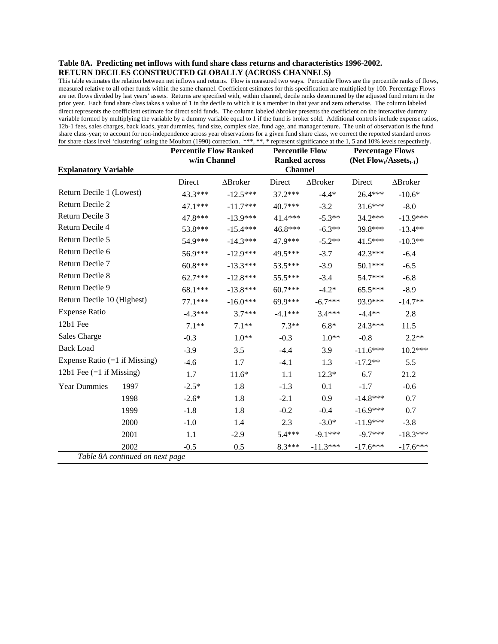## **Table 8A. Predicting net inflows with fund share class returns and characteristics 1996-2002. RETURN DECILES CONSTRUCTED GLOBALLY (ACROSS CHANNELS)**

This table estimates the relation between net inflows and returns. Flow is measured two ways. Percentile Flows are the percentile ranks of flows, measured relative to all other funds within the same channel. Coefficient estimates for this specification are multiplied by 100. Percentage Flows are net flows divided by last years' assets. Returns are specified with, within channel, decile ranks determined by the adjusted fund return in the prior year. Each fund share class takes a value of 1 in the decile to which it is a member in that year and zero otherwise. The column labeled direct represents the coefficient estimate for direct sold funds. The column labeled ∆broker presents the coefficient on the interactive dummy variable formed by multiplying the variable by a dummy variable equal to 1 if the fund is broker sold. Additional controls include expense ratios, 12b-1 fees, sales charges, back loads, year dummies, fund size, complex size, fund age, and manager tenure. The unit of observation is the fund share class-year; to account for non-independence across year observations for a given fund share class, we correct the reported standard errors for share-class level 'clustering' using the Moulton (1990) correction. \*\*\*, \*\*, \* represent significance at the 1, 5 and 10% levels respectively.

| <b>Explanatory Variable</b>     |                                 | <b>Percentile Flow Ranked</b><br>w/in Channel |                 | <b>Percentile Flow</b><br><b>Ranked across</b><br><b>Channel</b> |                 | <b>Percentage Flows</b><br>(Net $Flow_t/Assets_{t-1}$ ) |            |
|---------------------------------|---------------------------------|-----------------------------------------------|-----------------|------------------------------------------------------------------|-----------------|---------------------------------------------------------|------------|
|                                 |                                 | Direct                                        | $\Delta$ Broker | Direct                                                           | $\Delta$ Broker | Direct                                                  | ∆Broker    |
| Return Decile 1 (Lowest)        |                                 | 43.3***                                       | $-12.5***$      | $37.2***$                                                        | $-4.4*$         | $26.4***$                                               | $-10.6*$   |
| Return Decile 2                 |                                 | 47.1***                                       | $-11.7***$      | 40.7***                                                          | $-3.2$          | $31.6***$                                               | $-8.0$     |
| Return Decile 3                 |                                 | 47.8***                                       | $-13.9***$      | 41.4***                                                          | $-5.3**$        | 34.2***                                                 | $-13.9***$ |
| Return Decile 4                 |                                 | 53.8***                                       | $-15.4***$      | 46.8***                                                          | $-6.3**$        | 39.8***                                                 | $-13.4**$  |
| Return Decile 5                 |                                 | 54.9***                                       | $-14.3***$      | 47.9***                                                          | $-5.2**$        | $41.5***$                                               | $-10.3**$  |
| Return Decile 6                 |                                 | 56.9***                                       | $-12.9***$      | 49.5***                                                          | $-3.7$          | 42.3***                                                 | $-6.4$     |
| Return Decile 7                 |                                 | $60.8***$                                     | $-13.3***$      | 53.5***                                                          | $-3.9$          | $50.1***$                                               | $-6.5$     |
| Return Decile 8                 |                                 | $62.7***$                                     | $-12.8***$      | 55.5***                                                          | $-3.4$          | 54.7***                                                 | $-6.8$     |
| Return Decile 9                 |                                 | 68.1***                                       | $-13.8***$      | $60.7***$                                                        | $-4.2*$         | $65.5***$                                               | $-8.9$     |
| Return Decile 10 (Highest)      |                                 | $77.1***$                                     | $-16.0***$      | 69.9***                                                          | $-6.7***$       | 93.9***                                                 | $-14.7**$  |
| <b>Expense Ratio</b>            |                                 | $-4.3***$                                     | $3.7***$        | $-4.1***$                                                        | $3.4***$        | $-4.4**$                                                | 2.8        |
| 12b1 Fee                        |                                 | $7.1**$                                       | $7.1**$         | $7.3**$                                                          | $6.8*$          | 24.3***                                                 | 11.5       |
| Sales Charge                    |                                 | $-0.3$                                        | $1.0**$         | $-0.3$                                                           | $1.0**$         | $-0.8$                                                  | $2.2**$    |
| <b>Back Load</b>                |                                 | $-3.9$                                        | 3.5             | $-4.4$                                                           | 3.9             | $-11.6***$                                              | $10.2***$  |
| Expense Ratio $(=1$ if Missing) |                                 | $-4.6$                                        | 1.7             | $-4.1$                                                           | 1.3             | $-17.2**$                                               | 5.5        |
| 12b1 Fee $(=1$ if Missing)      |                                 | 1.7                                           | $11.6*$         | 1.1                                                              | $12.3*$         | 6.7                                                     | 21.2       |
| <b>Year Dummies</b>             | 1997                            | $-2.5*$                                       | 1.8             | $-1.3$                                                           | 0.1             | $-1.7$                                                  | $-0.6$     |
|                                 | 1998                            | $-2.6*$                                       | 1.8             | $-2.1$                                                           | 0.9             | $-14.8***$                                              | 0.7        |
|                                 | 1999                            | $-1.8$                                        | 1.8             | $-0.2$                                                           | $-0.4$          | $-16.9***$                                              | 0.7        |
|                                 | 2000                            | $-1.0$                                        | 1.4             | 2.3                                                              | $-3.0*$         | $-11.9***$                                              | $-3.8$     |
|                                 | 2001                            | 1.1                                           | $-2.9$          | $5.4***$                                                         | $-9.1***$       | $-9.7***$                                               | $-18.3***$ |
|                                 | 2002                            | $-0.5$                                        | 0.5             | $8.3***$                                                         | $-11.3***$      | $-17.6***$                                              | $-17.6***$ |
|                                 | Table 8A continued on next page |                                               |                 |                                                                  |                 |                                                         |            |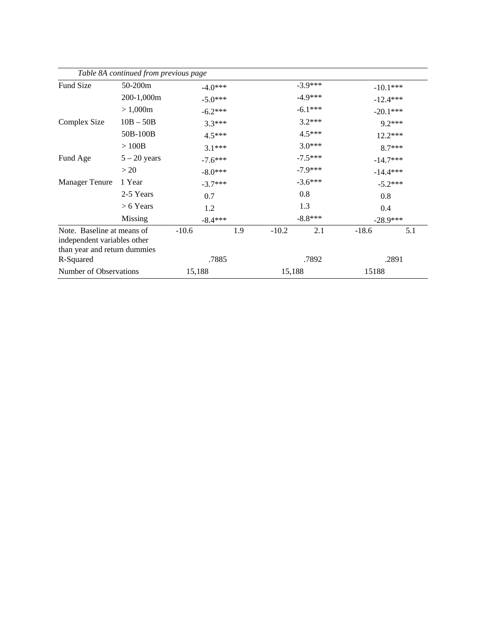|                                                                                           | Table 8A continued from previous page |            |          |                        |                         |            |            |
|-------------------------------------------------------------------------------------------|---------------------------------------|------------|----------|------------------------|-------------------------|------------|------------|
| <b>Fund Size</b>                                                                          | $50-200m$                             | $-4.0***$  |          | $-3.9***$<br>$-4.9***$ |                         |            | $-10.1***$ |
|                                                                                           | 200-1,000m                            | $-5.0***$  |          |                        |                         | $-12.4***$ |            |
|                                                                                           | > 1,000m                              | $-6.2***$  |          | $-6.1***$              |                         |            | $-20.1***$ |
| Complex Size                                                                              | $10B - 50B$                           |            | $3.3***$ |                        | $3.2***$                |            | $9.2***$   |
|                                                                                           | 50B-100B                              |            | $4.5***$ | $4.5***$               |                         | $12.2***$  |            |
|                                                                                           | >100B                                 |            | $3.1***$ |                        | $3.0***$                |            | $8.7***$   |
| Fund Age                                                                                  | $5 - 20$ years                        | $-7.6***$  |          |                        | $-7.5***$               | $-14.7***$ |            |
|                                                                                           | >20                                   | $-8.0***$  |          |                        | $-7.9***$<br>$-14.4***$ |            |            |
| <b>Manager Tenure</b>                                                                     | 1 Year                                | $-3.7***$  |          |                        | $-3.6***$               |            | $-5.2***$  |
|                                                                                           | 2-5 Years                             | 0.7<br>1.2 |          | 0.8<br>1.3             |                         | 0.8<br>0.4 |            |
|                                                                                           | $> 6$ Years                           |            |          |                        |                         |            |            |
|                                                                                           | Missing                               | $-8.4***$  |          | $-8.8***$              |                         | $-28.9***$ |            |
| Note. Baseline at means of<br>independent variables other<br>than year and return dummies |                                       | $-10.6$    | 1.9      | $-10.2$                | 2.1                     | $-18.6$    | 5.1        |
| R-Squared                                                                                 |                                       | .7885      |          | .7892                  |                         | .2891      |            |
| Number of Observations                                                                    |                                       | 15,188     |          | 15,188                 |                         | 15188      |            |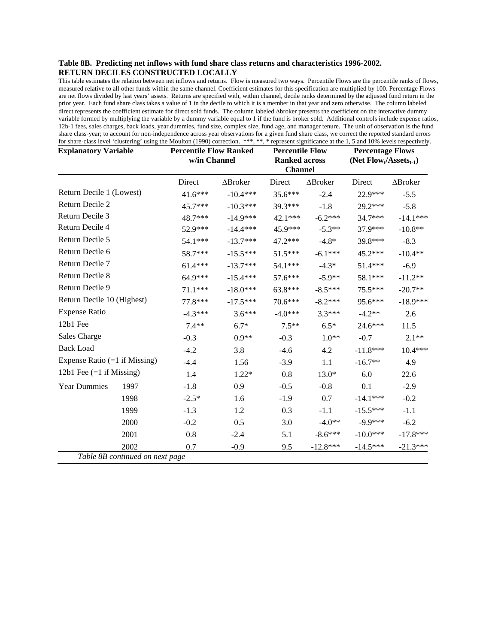### **Table 8B. Predicting net inflows with fund share class returns and characteristics 1996-2002. RETURN DECILES CONSTRUCTED LOCALLY**

This table estimates the relation between net inflows and returns. Flow is measured two ways. Percentile Flows are the percentile ranks of flows, measured relative to all other funds within the same channel. Coefficient estimates for this specification are multiplied by 100. Percentage Flows are net flows divided by last years' assets. Returns are specified with, within channel, decile ranks determined by the adjusted fund return in the prior year. Each fund share class takes a value of 1 in the decile to which it is a member in that year and zero otherwise. The column labeled direct represents the coefficient estimate for direct sold funds. The column labeled ∆broker presents the coefficient on the interactive dummy variable formed by multiplying the variable by a dummy variable equal to 1 if the fund is broker sold. Additional controls include expense ratios, 12b-1 fees, sales charges, back loads, year dummies, fund size, complex size, fund age, and manager tenure. The unit of observation is the fund share class-year; to account for non-independence across year observations for a given fund share class, we correct the reported standard errors for share-class level 'clustering' using the Moulton (1990) correction. \*\*\*, \*\*, \* represent significance at the 1, 5 and 10% levels respectively.

| <b>Explanatory Variable</b>     |                                 | <b>Percentile Flow Ranked</b><br>w/in Channel |            | <b>Percentile Flow</b><br><b>Ranked across</b><br><b>Channel</b> |                 | <b>Percentage Flows</b><br>(Net $Flow_t/Assets_{t-1}$ ) |            |
|---------------------------------|---------------------------------|-----------------------------------------------|------------|------------------------------------------------------------------|-----------------|---------------------------------------------------------|------------|
|                                 |                                 | Direct                                        | ∆Broker    | Direct                                                           | $\Delta$ Broker | Direct                                                  | ∆Broker    |
| Return Decile 1 (Lowest)        |                                 | $41.6***$                                     | $-10.4***$ | $35.6***$                                                        | $-2.4$          | 22.9***                                                 | $-5.5$     |
| Return Decile 2                 |                                 | 45.7***                                       | $-10.3***$ | 39.3***                                                          | $-1.8$          | 29.2***                                                 | $-5.8$     |
| Return Decile 3                 |                                 | 48.7***                                       | $-14.9***$ | 42.1 ***                                                         | $-6.2***$       | 34.7***                                                 | $-14.1***$ |
| Return Decile 4                 |                                 | 52.9***                                       | $-14.4***$ | 45.9***                                                          | $-5.3**$        | 37.9***                                                 | $-10.8**$  |
| Return Decile 5                 |                                 | 54.1***                                       | $-13.7***$ | $47.2***$                                                        | $-4.8*$         | 39.8***                                                 | $-8.3$     |
| Return Decile 6                 |                                 | 58.7***                                       | $-15.5***$ | $51.5***$                                                        | $-6.1***$       | $45.2***$                                               | $-10.4**$  |
| Return Decile 7                 |                                 | $61.4***$                                     | $-13.7***$ | 54.1***                                                          | $-4.3*$         | 51.4***                                                 | $-6.9$     |
| Return Decile 8                 |                                 | 64.9***                                       | $-15.4***$ | 57.6***                                                          | $-5.9**$        | 58.1***                                                 | $-11.2**$  |
| Return Decile 9                 |                                 | $71.1***$                                     | $-18.0***$ | 63.8***                                                          | $-8.5***$       | 75.5***                                                 | $-20.7**$  |
| Return Decile 10 (Highest)      |                                 | 77.8***                                       | $-17.5***$ | $70.6***$                                                        | $-8.2***$       | 95.6***                                                 | $-18.9***$ |
| <b>Expense Ratio</b>            |                                 | $-4.3***$                                     | $3.6***$   | $-4.0***$                                                        | $3.3***$        | $-4.2**$                                                | 2.6        |
| 12b1 Fee                        |                                 | $7.4**$                                       | $6.7*$     | $7.5**$                                                          | $6.5*$          | $24.6***$                                               | 11.5       |
| <b>Sales Charge</b>             |                                 | $-0.3$                                        | $0.9**$    | $-0.3$                                                           | $1.0**$         | $-0.7$                                                  | $2.1**$    |
| <b>Back Load</b>                |                                 | $-4.2$                                        | 3.8        | $-4.6$                                                           | 4.2             | $-11.8***$                                              | $10.4***$  |
| Expense Ratio $(=1$ if Missing) |                                 | $-4.4$                                        | 1.56       | $-3.9$                                                           | 1.1             | $-16.7**$                                               | 4.9        |
| 12b1 Fee $(=1$ if Missing)      |                                 | 1.4                                           | $1.22*$    | 0.8                                                              | $13.0*$         | 6.0                                                     | 22.6       |
| <b>Year Dummies</b>             | 1997                            | $-1.8$                                        | 0.9        | $-0.5$                                                           | $-0.8$          | 0.1                                                     | $-2.9$     |
|                                 | 1998                            | $-2.5*$                                       | 1.6        | $-1.9$                                                           | 0.7             | $-14.1***$                                              | $-0.2$     |
|                                 | 1999                            | $-1.3$                                        | 1.2        | 0.3                                                              | $-1.1$          | $-15.5***$                                              | $-1.1$     |
|                                 | 2000                            | $-0.2$                                        | 0.5        | 3.0                                                              | $-4.0**$        | $-9.9***$                                               | $-6.2$     |
|                                 | 2001                            | 0.8                                           | $-2.4$     | 5.1                                                              | $-8.6***$       | $-10.0***$                                              | $-17.8***$ |
| 2002                            |                                 | 0.7                                           | $-0.9$     | 9.5                                                              | $-12.8***$      | $-14.5***$                                              | $-21.3***$ |
|                                 | Table 8B continued on next page |                                               |            |                                                                  |                 |                                                         |            |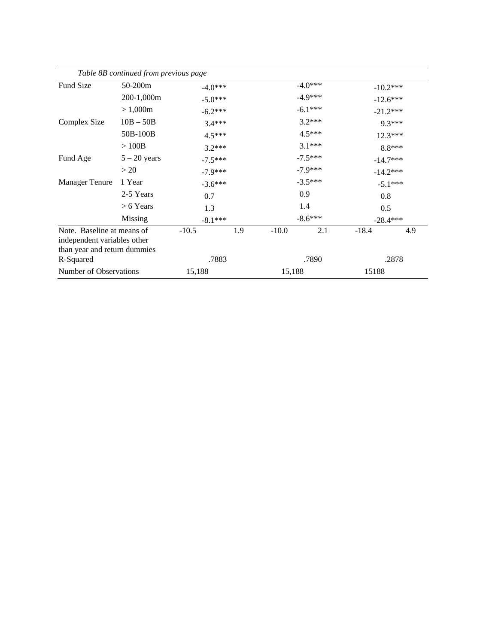|                                                                                           | Table 8B continued from previous page |            |     |            |           |            |            |
|-------------------------------------------------------------------------------------------|---------------------------------------|------------|-----|------------|-----------|------------|------------|
| <b>Fund Size</b>                                                                          | $50-200m$                             | $-4.0***$  |     |            | $-4.0***$ |            | $-10.2***$ |
|                                                                                           | 200-1,000m                            | $-5.0***$  |     | $-4.9***$  |           | $-12.6***$ |            |
|                                                                                           | > 1,000m                              | $-6.2***$  |     | $-6.1***$  |           | $-21.2***$ |            |
| Complex Size                                                                              | $10B - 50B$                           | $3.4***$   |     |            | $3.2***$  |            | $9.3***$   |
|                                                                                           | 50B-100B                              | $4.5***$   |     | $4.5***$   |           | $12.3***$  |            |
|                                                                                           | >100B                                 | $3.2***$   |     | $3.1***$   |           | 8.8***     |            |
| Fund Age                                                                                  | $5 - 20$ years                        | $-7.5***$  |     | $-7.5***$  |           | $-14.7***$ |            |
|                                                                                           | >20                                   | $-7.9***$  |     | $-7.9***$  |           | $-14.2***$ |            |
| <b>Manager Tenure</b>                                                                     | 1 Year                                | $-3.6***$  |     |            | $-3.5***$ |            | $-5.1***$  |
|                                                                                           | 2-5 Years                             | 0.7<br>1.3 |     | 0.9<br>1.4 |           | 0.8<br>0.5 |            |
|                                                                                           | $> 6$ Years                           |            |     |            |           |            |            |
|                                                                                           | Missing                               | $-8.1***$  |     | $-8.6***$  |           | $-28.4***$ |            |
| Note. Baseline at means of<br>independent variables other<br>than year and return dummies |                                       | $-10.5$    | 1.9 | $-10.0$    | 2.1       | $-18.4$    | 4.9        |
| R-Squared                                                                                 |                                       | .7883      |     | .7890      |           | .2878      |            |
| Number of Observations                                                                    |                                       | 15,188     |     | 15,188     |           | 15188      |            |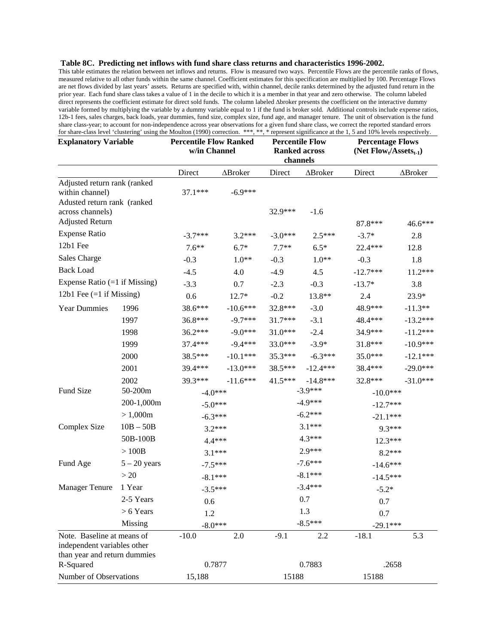## **Table 8C. Predicting net inflows with fund share class returns and characteristics 1996-2002.**

This table estimates the relation between net inflows and returns. Flow is measured two ways. Percentile Flows are the percentile ranks of flows, measured relative to all other funds within the same channel. Coefficient estimates for this specification are multiplied by 100. Percentage Flows are net flows divided by last years' assets. Returns are specified with, within channel, decile ranks determined by the adjusted fund return in the prior year. Each fund share class takes a value of 1 in the decile to which it is a member in that year and zero otherwise. The column labeled direct represents the coefficient estimate for direct sold funds. The column labeled ∆broker presents the coefficient on the interactive dummy variable formed by multiplying the variable by a dummy variable equal to 1 if the fund is broker sold. Additional controls include expense ratios, 12b-1 fees, sales charges, back loads, year dummies, fund size, complex size, fund age, and manager tenure. The unit of observation is the fund share class-year; to account for non-independence across year observations for a given fund share class, we correct the reported standard errors for share-class level 'clustering' using the Moulton (1990) correction. \*\*\*, \*\*, \* represent significance at the 1, 5 and 10% levels respectively.

| <b>Explanatory Variable</b>                                                               |                  | <b>Percentile Flow Ranked</b><br>w/in Channel |            | <b>Percentile Flow</b><br><b>Ranked across</b><br>channels |            | <b>Percentage Flows</b><br>(Net $Flow_t/Assets_{t-1})$ |            |  |
|-------------------------------------------------------------------------------------------|------------------|-----------------------------------------------|------------|------------------------------------------------------------|------------|--------------------------------------------------------|------------|--|
|                                                                                           |                  | Direct                                        | ∆Broker    | Direct                                                     | ∆Broker    | Direct                                                 | ∆Broker    |  |
| Adjusted return rank (ranked<br>within channel)<br>Adusted return rank (ranked            |                  | $37.1***$                                     | $-6.9***$  |                                                            |            |                                                        |            |  |
| across channels)                                                                          |                  |                                               |            | 32.9***                                                    | $-1.6$     |                                                        |            |  |
| <b>Adjusted Return</b>                                                                    |                  |                                               |            |                                                            |            | 87.8***                                                | 46.6***    |  |
| <b>Expense Ratio</b>                                                                      |                  | $-3.7***$                                     | $3.2***$   | $-3.0***$                                                  | $2.5***$   | $-3.7*$                                                | 2.8        |  |
| 12b1 Fee                                                                                  |                  | $7.6**$                                       | $6.7*$     | $7.7**$                                                    | $6.5*$     | 22.4 ***                                               | 12.8       |  |
| <b>Sales Charge</b>                                                                       |                  | $-0.3$                                        | $1.0**$    | $-0.3$                                                     | $1.0**$    | $-0.3$                                                 | 1.8        |  |
| <b>Back Load</b>                                                                          |                  | $-4.5$                                        | 4.0        | $-4.9$                                                     | 4.5        | $-12.7***$                                             | 11.2***    |  |
| Expense Ratio $(=1$ if Missing)                                                           |                  | $-3.3$                                        | 0.7        | $-2.3$                                                     | $-0.3$     | $-13.7*$                                               | 3.8        |  |
| 12b1 Fee $(=1$ if Missing)                                                                |                  | 0.6                                           | 12.7*      | $-0.2$                                                     | 13.8**     | 2.4                                                    | $23.9*$    |  |
| <b>Year Dummies</b>                                                                       | 1996             | 38.6***                                       | $-10.6***$ | 32.8***                                                    | $-3.0$     | 48.9***                                                | $-11.3**$  |  |
|                                                                                           | 1997             | 36.8***                                       | $-9.7***$  | 31.7***                                                    | $-3.1$     | 48.4***                                                | $-13.2***$ |  |
|                                                                                           | 1998             | $36.2***$                                     | $-9.0***$  | 31.0***                                                    | $-2.4$     | 34.9***                                                | $-11.2***$ |  |
|                                                                                           | 1999             | 37.4***                                       | $-9.4***$  | 33.0***                                                    | $-3.9*$    | 31.8***                                                | $-10.9***$ |  |
|                                                                                           | 2000             | 38.5***                                       | $-10.1***$ | $35.3***$                                                  | $-6.3***$  | $35.0***$                                              | $-12.1***$ |  |
|                                                                                           | 2001             | 39.4***                                       | $-13.0***$ | 38.5***                                                    | $-12.4***$ | 38.4***                                                | $-29.0***$ |  |
|                                                                                           | 2002             | 39.3***                                       | $-11.6***$ | $41.5***$                                                  | $-14.8***$ | 32.8***                                                | $-31.0***$ |  |
| Fund Size                                                                                 | 50-200m          | $-4.0***$                                     |            |                                                            | $-3.9***$  | $-10.0***$                                             |            |  |
|                                                                                           | 200-1,000m       | $-5.0***$                                     |            | $-4.9***$                                                  |            | $-12.7***$                                             |            |  |
|                                                                                           | > 1,000m         | $-6.3***$                                     |            |                                                            | $-6.2***$  | $-21.1***$                                             |            |  |
| Complex Size                                                                              | $10B - 50B$      |                                               | $3.2***$   |                                                            | $3.1***$   | 9.3***                                                 |            |  |
|                                                                                           | 50B-100B         |                                               | 4.4***     | $4.3***$                                                   |            | 12.3***                                                |            |  |
|                                                                                           | $>100\mathrm{B}$ |                                               | $3.1***$   | 2.9***                                                     |            | $8.2***$                                               |            |  |
| Fund Age                                                                                  | $5 - 20$ years   |                                               | $-7.5***$  |                                                            | $-7.6***$  |                                                        | $-14.6***$ |  |
|                                                                                           | >20              | $-8.1***$                                     |            | $-8.1***$                                                  |            | $-14.5***$                                             |            |  |
| <b>Manager Tenure</b>                                                                     | 1 Year           | $-3.5***$                                     |            | $-3.4***$                                                  |            | $-5.2*$                                                |            |  |
|                                                                                           | 2-5 Years        |                                               | $0.6\,$    |                                                            | 0.7<br>1.3 |                                                        |            |  |
|                                                                                           | $> 6$ Years      | 1.2                                           |            |                                                            |            |                                                        |            |  |
|                                                                                           | Missing          | $-8.0***$                                     |            | $-8.5***$                                                  |            | 0.7<br>$-29.1***$                                      |            |  |
| Note. Baseline at means of<br>independent variables other<br>than year and return dummies |                  | $-10.0$                                       | 2.0        | $-9.1$                                                     | 2.2        | $-18.1$                                                | 5.3        |  |
| R-Squared                                                                                 |                  |                                               | 0.7877     |                                                            | 0.7883     |                                                        | .2658      |  |
| Number of Observations                                                                    |                  | 15,188                                        |            | 15188                                                      |            | 15188                                                  |            |  |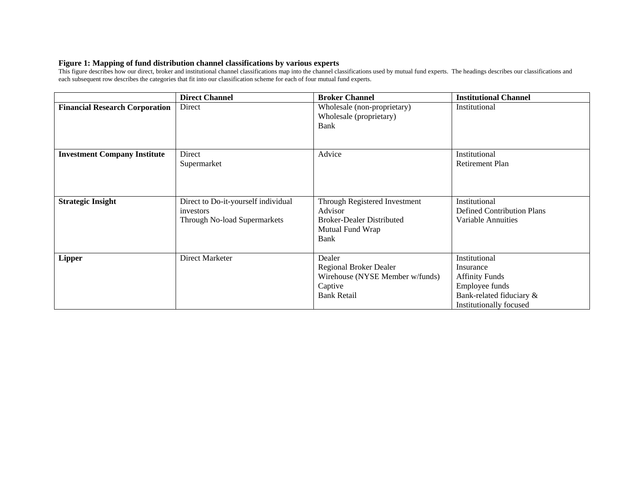## **Figure 1: Mapping of fund distribution channel classifications by various experts**

This figure describes how our direct, broker and institutional channel classifications map into the channel classifications used by mutual fund experts. The headings describes our classifications and each subsequent row describes the categories that fit into our classification scheme for each of four mutual fund experts.

|                                       | <b>Direct Channel</b>                                                            | <b>Broker Channel</b>                                                                                    | <b>Institutional Channel</b>                                                                                                 |
|---------------------------------------|----------------------------------------------------------------------------------|----------------------------------------------------------------------------------------------------------|------------------------------------------------------------------------------------------------------------------------------|
| <b>Financial Research Corporation</b> | Direct                                                                           | Wholesale (non-proprietary)<br>Wholesale (proprietary)<br>Bank                                           | Institutional                                                                                                                |
| <b>Investment Company Institute</b>   | Direct<br>Supermarket                                                            | Advice                                                                                                   | Institutional<br>Retirement Plan                                                                                             |
| <b>Strategic Insight</b>              | Direct to Do-it-yourself individual<br>investors<br>Through No-load Supermarkets | Through Registered Investment<br>Advisor<br><b>Broker-Dealer Distributed</b><br>Mutual Fund Wrap<br>Bank | Institutional<br><b>Defined Contribution Plans</b><br>Variable Annuities                                                     |
| <b>Lipper</b>                         | Direct Marketer                                                                  | Dealer<br>Regional Broker Dealer<br>Wirehouse (NYSE Member w/funds)<br>Captive<br><b>Bank Retail</b>     | Institutional<br>Insurance<br><b>Affinity Funds</b><br>Employee funds<br>Bank-related fiduciary &<br>Institutionally focused |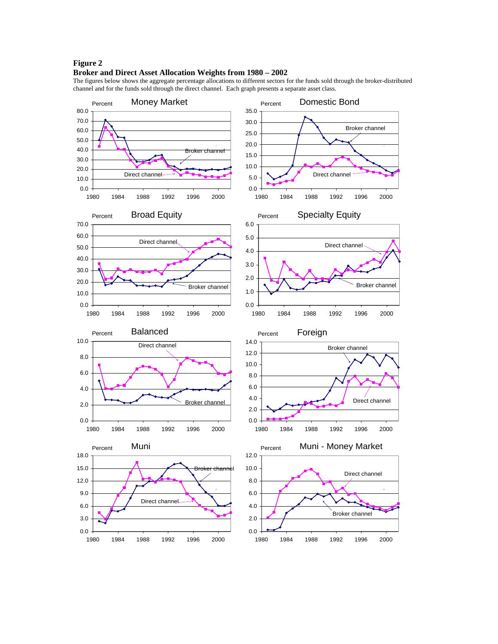### **Figure 2**

#### **Broker and Direct Asset Allocation Weights from 1980 – 2002**

The figures below shows the aggregate percentage allocations to different sectors for the funds sold through the broker-distributed channel and for the funds sold through the direct channel. Each graph presents a separate asset class.

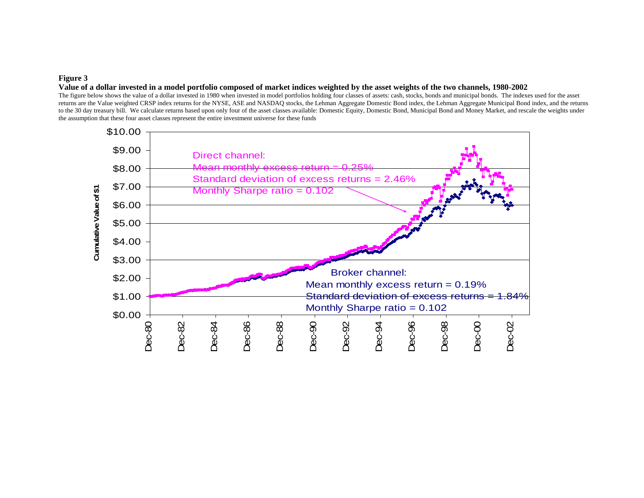### **Figure 3**

#### **Value of a dollar invested in a model portfolio composed of market indices weighted by the asset weights of the two channels, 1980-2002**

The figure below shows the value of a dollar invested in 1980 when invested in model portfolios holding four classes of assets: cash, stocks, bonds and municipal bonds. The indexes used for the asset returns are the Value weighted CRSP index returns for the NYSE, ASE and NASDAQ stocks, the Lehman Aggregate Domestic Bond index, the Lehman Aggregate Municipal Bond index, and the returns to the 30 day treasury bill. We calculate returns based upon only four of the asset classes available: Domestic Equity, Domestic Bond, Municipal Bond and Money Market, and rescale the weights under the assumption that these four asset classes represent the entire investment universe for these funds

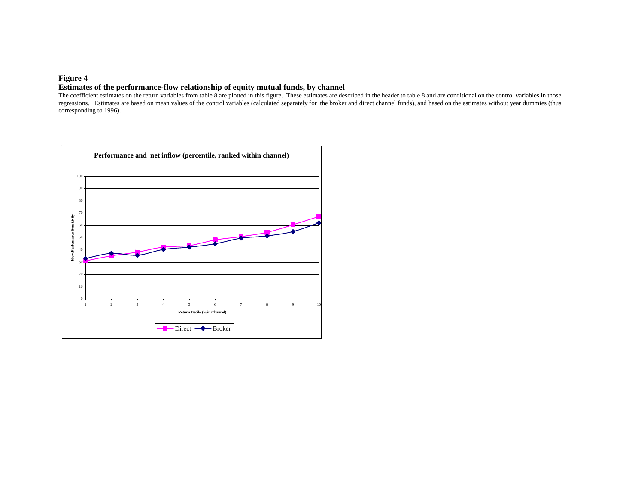## **Figure 4**

### **Estimates of the performance-flow relationship of equity mutual funds, by channel**

The coefficient estimates on the return variables from table 8 are plotted in this figure. These estimates are described in the header to table 8 and are conditional on the control variables in those regressions. Estimates are based on mean values of the control variables (calculated separately for the broker and direct channel funds), and based on the estimates without year dummies (thus corresponding to 1996).

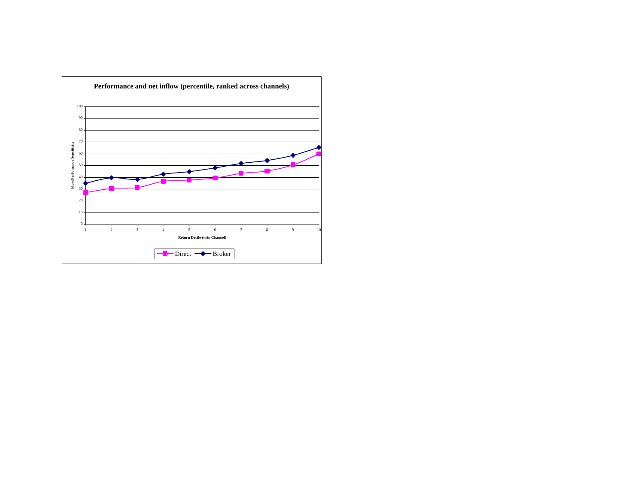